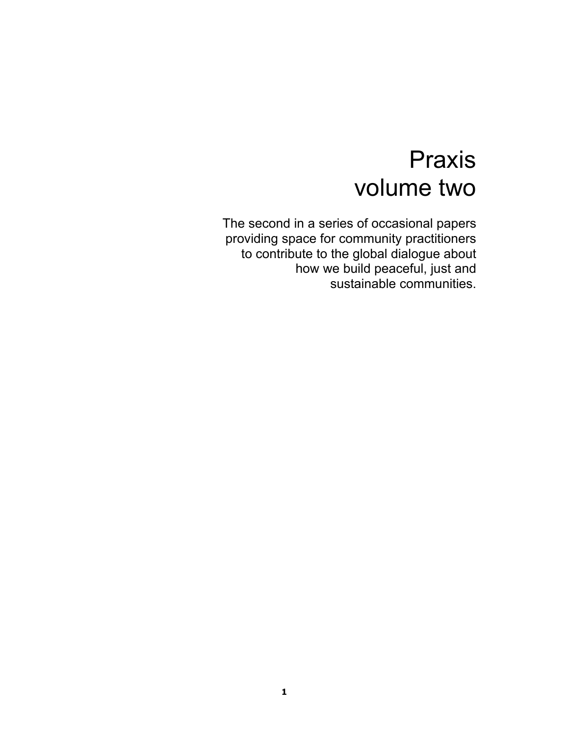# Praxis volume two

The second in a series of occasional papers providing space for community practitioners to contribute to the global dialogue about how we build peaceful, just and sustainable communities.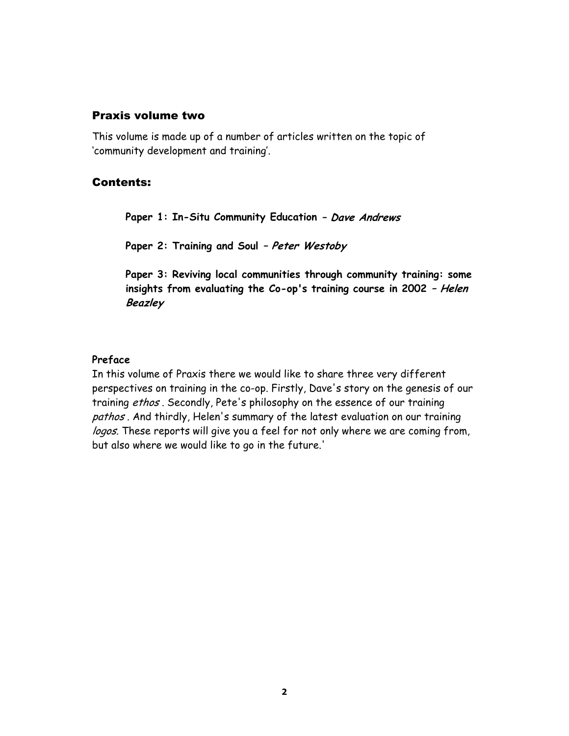#### Praxis volume two

This volume is made up of a number of articles written on the topic of 'community development and training'.

#### Contents:

**Paper 1: In-Situ Community Education – Dave Andrews**

**Paper 2: Training and Soul – Peter Westoby**

**Paper 3: Reviving local communities through community training: some insights from evaluating the Co-op's training course in 2002 – Helen Beazley** 

#### **Preface**

In this volume of Praxis there we would like to share three very different perspectives on training in the co-op. Firstly, Dave's story on the genesis of our training ethos . Secondly, Pete's philosophy on the essence of our training pathos. And thirdly, Helen's summary of the latest evaluation on our training logos. These reports will give you a feel for not only where we are coming from, but also where we would like to go in the future.'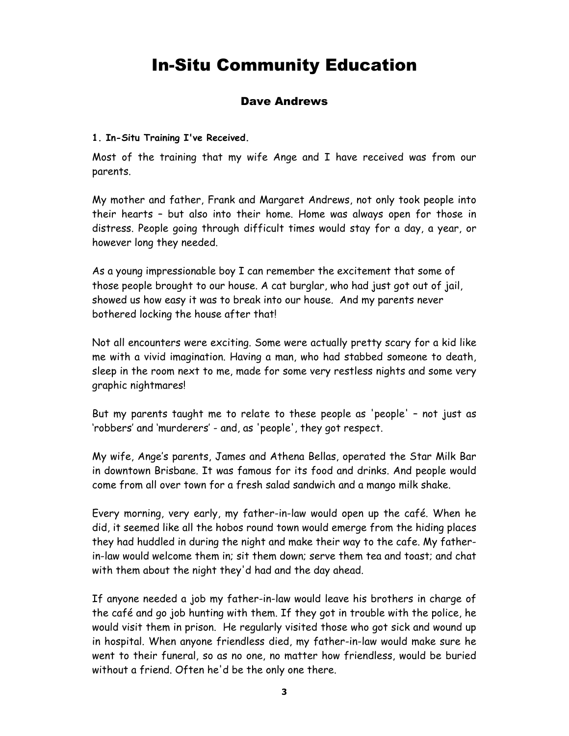## In-Situ Community Education

#### Dave Andrews

#### **1. In-Situ Training I've Received.**

Most of the training that my wife Ange and I have received was from our parents.

My mother and father, Frank and Margaret Andrews, not only took people into their hearts – but also into their home. Home was always open for those in distress. People going through difficult times would stay for a day, a year, or however long they needed.

As a young impressionable boy I can remember the excitement that some of those people brought to our house. A cat burglar, who had just got out of jail, showed us how easy it was to break into our house. And my parents never bothered locking the house after that!

Not all encounters were exciting. Some were actually pretty scary for a kid like me with a vivid imagination. Having a man, who had stabbed someone to death, sleep in the room next to me, made for some very restless nights and some very graphic nightmares!

But my parents taught me to relate to these people as 'people' – not just as 'robbers' and 'murderers' - and, as 'people', they got respect.

My wife, Ange's parents, James and Athena Bellas, operated the Star Milk Bar in downtown Brisbane. It was famous for its food and drinks. And people would come from all over town for a fresh salad sandwich and a mango milk shake.

Every morning, very early, my father-in-law would open up the café. When he did, it seemed like all the hobos round town would emerge from the hiding places they had huddled in during the night and make their way to the cafe. My fatherin-law would welcome them in; sit them down; serve them tea and toast; and chat with them about the night they'd had and the day ahead.

If anyone needed a job my father-in-law would leave his brothers in charge of the café and go job hunting with them. If they got in trouble with the police, he would visit them in prison. He regularly visited those who got sick and wound up in hospital. When anyone friendless died, my father-in-law would make sure he went to their funeral, so as no one, no matter how friendless, would be buried without a friend. Often he'd be the only one there.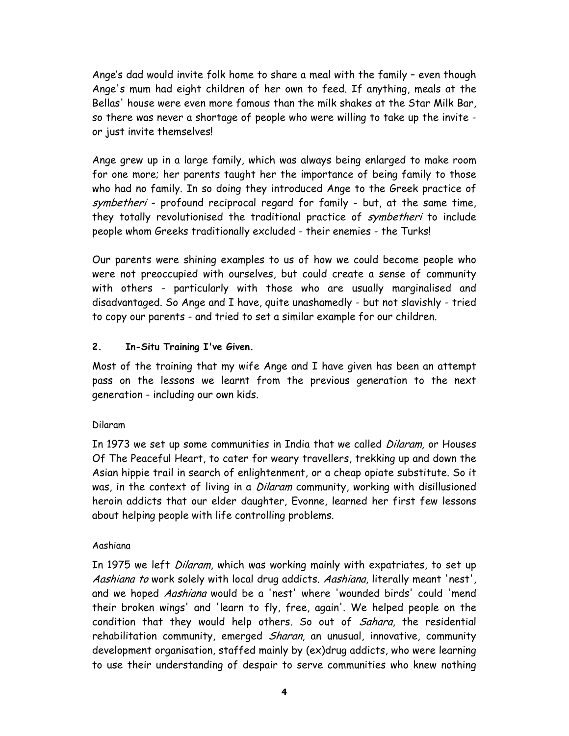Ange's dad would invite folk home to share a meal with the family – even though Ange's mum had eight children of her own to feed. If anything, meals at the Bellas' house were even more famous than the milk shakes at the Star Milk Bar, so there was never a shortage of people who were willing to take up the invite or just invite themselves!

Ange grew up in a large family, which was always being enlarged to make room for one more; her parents taught her the importance of being family to those who had no family. In so doing they introduced Ange to the Greek practice of symbetheri - profound reciprocal regard for family - but, at the same time, they totally revolutionised the traditional practice of *symbetheri* to include people whom Greeks traditionally excluded - their enemies - the Turks!

Our parents were shining examples to us of how we could become people who were not preoccupied with ourselves, but could create a sense of community with others - particularly with those who are usually marginalised and disadvantaged. So Ange and I have, quite unashamedly - but not slavishly - tried to copy our parents - and tried to set a similar example for our children.

#### **2. In-Situ Training I've Given.**

Most of the training that my wife Ange and I have given has been an attempt pass on the lessons we learnt from the previous generation to the next generation - including our own kids.

### Dilaram

In 1973 we set up some communities in India that we called *Dilaram*, or Houses Of The Peaceful Heart, to cater for weary travellers, trekking up and down the Asian hippie trail in search of enlightenment, or a cheap opiate substitute. So it was, in the context of living in a *Dilaram* community, working with disillusioned heroin addicts that our elder daughter, Evonne, learned her first few lessons about helping people with life controlling problems.

### Aashiana

In 1975 we left *Dilaram*, which was working mainly with expatriates, to set up Aashiana to work solely with local drug addicts. Aashiana, literally meant 'nest', and we hoped Aashiana would be a 'nest' where 'wounded birds' could 'mend their broken wings' and 'learn to fly, free, again'. We helped people on the condition that they would help others. So out of *Sahara*, the residential rehabilitation community, emerged Sharan, an unusual, innovative, community development organisation, staffed mainly by (ex)drug addicts, who were learning to use their understanding of despair to serve communities who knew nothing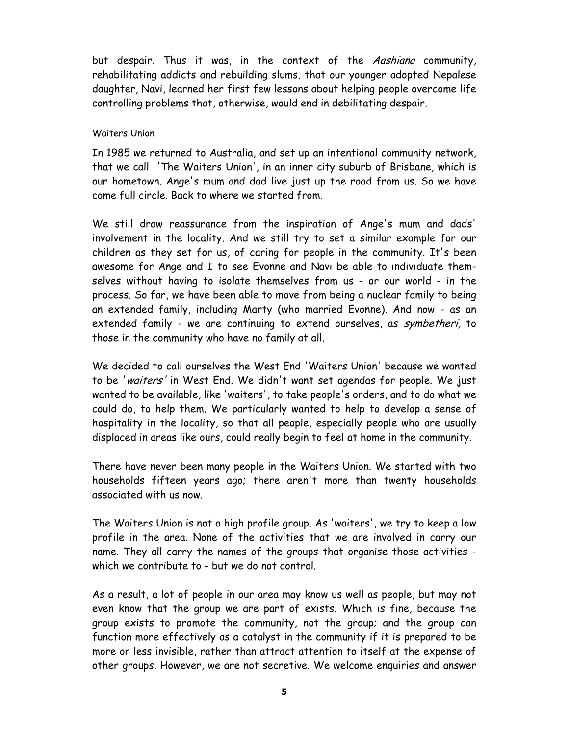but despair. Thus it was, in the context of the Aashiana community, rehabilitating addicts and rebuilding slums, that our younger adopted Nepalese daughter, Navi, learned her first few lessons about helping people overcome life controlling problems that, otherwise, would end in debilitating despair.

#### Waiters Union

In 1985 we returned to Australia, and set up an intentional community network, that we call 'The Waiters Union', in an inner city suburb of Brisbane, which is our hometown. Ange's mum and dad live just up the road from us. So we have come full circle. Back to where we started from.

We still draw reassurance from the inspiration of Ange's mum and dads' involvement in the locality. And we still try to set a similar example for our children as they set for us, of caring for people in the community. It's been awesome for Ange and I to see Evonne and Navi be able to individuate themselves without having to isolate themselves from us - or our world - in the process. So far, we have been able to move from being a nuclear family to being an extended family, including Marty (who married Evonne). And now - as an extended family - we are continuing to extend ourselves, as symbetheri, to those in the community who have no family at all.

We decided to call ourselves the West End 'Waiters Union' because we wanted to be 'waiters' in West End. We didn't want set agendas for people. We just wanted to be available, like 'waiters', to take people's orders, and to do what we could do, to help them. We particularly wanted to help to develop a sense of hospitality in the locality, so that all people, especially people who are usually displaced in areas like ours, could really begin to feel at home in the community.

There have never been many people in the Waiters Union. We started with two households fifteen years ago; there aren't more than twenty households associated with us now.

The Waiters Union is not a high profile group. As 'waiters', we try to keep a low profile in the area. None of the activities that we are involved in carry our name. They all carry the names of the groups that organise those activities which we contribute to - but we do not control.

As a result, a lot of people in our area may know us well as people, but may not even know that the group we are part of exists. Which is fine, because the group exists to promote the community, not the group; and the group can function more effectively as a catalyst in the community if it is prepared to be more or less invisible, rather than attract attention to itself at the expense of other groups. However, we are not secretive. We welcome enquiries and answer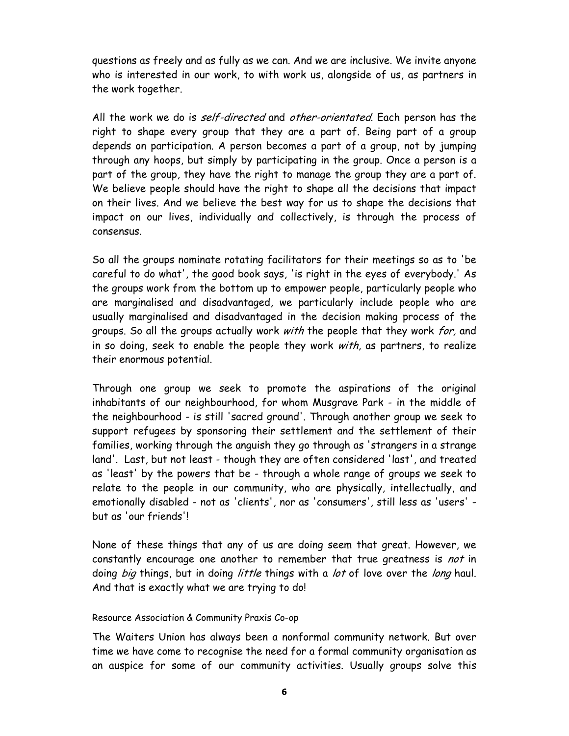questions as freely and as fully as we can. And we are inclusive. We invite anyone who is interested in our work, to with work us, alongside of us, as partners in the work together.

All the work we do is *self-directed* and *other-orientated*. Each person has the right to shape every group that they are a part of. Being part of a group depends on participation. A person becomes a part of a group, not by jumping through any hoops, but simply by participating in the group. Once a person is a part of the group, they have the right to manage the group they are a part of. We believe people should have the right to shape all the decisions that impact on their lives. And we believe the best way for us to shape the decisions that impact on our lives, individually and collectively, is through the process of consensus.

So all the groups nominate rotating facilitators for their meetings so as to 'be careful to do what', the good book says, 'is right in the eyes of everybody.' As the groups work from the bottom up to empower people, particularly people who are marginalised and disadvantaged, we particularly include people who are usually marginalised and disadvantaged in the decision making process of the groups. So all the groups actually work with the people that they work for, and in so doing, seek to enable the people they work with, as partners, to realize their enormous potential.

Through one group we seek to promote the aspirations of the original inhabitants of our neighbourhood, for whom Musgrave Park - in the middle of the neighbourhood - is still 'sacred ground'. Through another group we seek to support refugees by sponsoring their settlement and the settlement of their families, working through the anguish they go through as 'strangers in a strange land'. Last, but not least - though they are often considered 'last', and treated as 'least' by the powers that be - through a whole range of groups we seek to relate to the people in our community, who are physically, intellectually, and emotionally disabled - not as 'clients', nor as 'consumers', still less as 'users' but as 'our friends'!

None of these things that any of us are doing seem that great. However, we constantly encourage one another to remember that true greatness is not in doing big things, but in doing little things with a lot of love over the long haul. And that is exactly what we are trying to do!

#### Resource Association & Community Praxis Co-op

The Waiters Union has always been a nonformal community network. But over time we have come to recognise the need for a formal community organisation as an auspice for some of our community activities. Usually groups solve this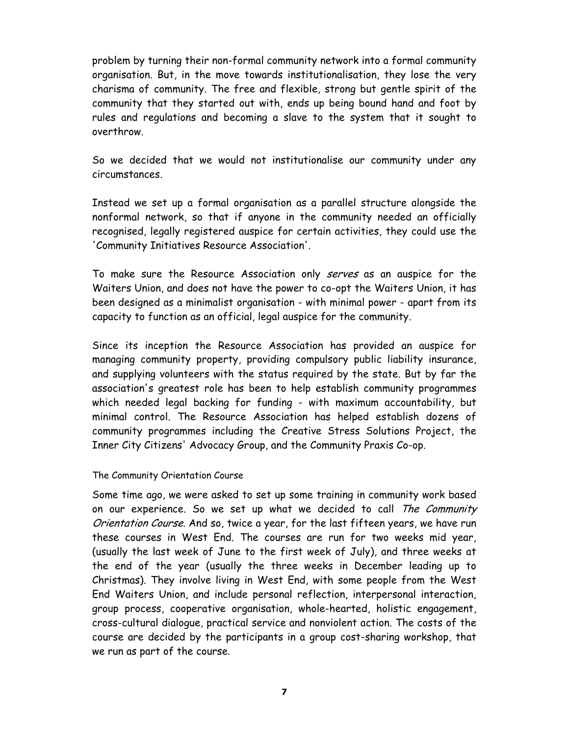problem by turning their non-formal community network into a formal community organisation. But, in the move towards institutionalisation, they lose the very charisma of community. The free and flexible, strong but gentle spirit of the community that they started out with, ends up being bound hand and foot by rules and regulations and becoming a slave to the system that it sought to overthrow.

So we decided that we would not institutionalise our community under any circumstances.

Instead we set up a formal organisation as a parallel structure alongside the nonformal network, so that if anyone in the community needed an officially recognised, legally registered auspice for certain activities, they could use the 'Community Initiatives Resource Association'.

To make sure the Resource Association only serves as an auspice for the Waiters Union, and does not have the power to co-opt the Waiters Union, it has been designed as a minimalist organisation - with minimal power - apart from its capacity to function as an official, legal auspice for the community.

Since its inception the Resource Association has provided an auspice for managing community property, providing compulsory public liability insurance, and supplying volunteers with the status required by the state. But by far the association's greatest role has been to help establish community programmes which needed legal backing for funding - with maximum accountability, but minimal control. The Resource Association has helped establish dozens of community programmes including the Creative Stress Solutions Project, the Inner City Citizens' Advocacy Group, and the Community Praxis Co-op.

#### The Community Orientation Course

Some time ago, we were asked to set up some training in community work based on our experience. So we set up what we decided to call The Community Orientation Course. And so, twice a year, for the last fifteen years, we have run these courses in West End. The courses are run for two weeks mid year, (usually the last week of June to the first week of July), and three weeks at the end of the year (usually the three weeks in December leading up to Christmas). They involve living in West End, with some people from the West End Waiters Union, and include personal reflection, interpersonal interaction, group process, cooperative organisation, whole-hearted, holistic engagement, cross-cultural dialogue, practical service and nonviolent action. The costs of the course are decided by the participants in a group cost-sharing workshop, that we run as part of the course.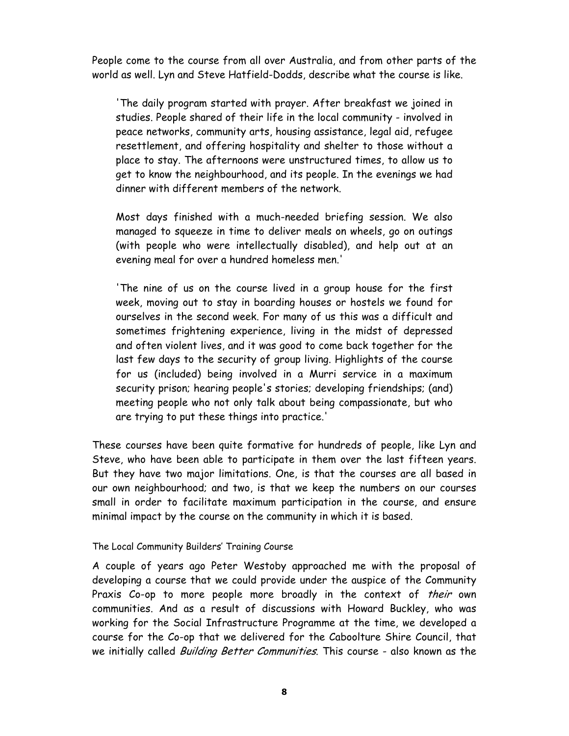People come to the course from all over Australia, and from other parts of the world as well. Lyn and Steve Hatfield-Dodds, describe what the course is like.

'The daily program started with prayer. After breakfast we joined in studies. People shared of their life in the local community - involved in peace networks, community arts, housing assistance, legal aid, refugee resettlement, and offering hospitality and shelter to those without a place to stay. The afternoons were unstructured times, to allow us to get to know the neighbourhood, and its people. In the evenings we had dinner with different members of the network.

Most days finished with a much-needed briefing session. We also managed to squeeze in time to deliver meals on wheels, go on outings (with people who were intellectually disabled), and help out at an evening meal for over a hundred homeless men.'

'The nine of us on the course lived in a group house for the first week, moving out to stay in boarding houses or hostels we found for ourselves in the second week. For many of us this was a difficult and sometimes frightening experience, living in the midst of depressed and often violent lives, and it was good to come back together for the last few days to the security of group living. Highlights of the course for us (included) being involved in a Murri service in a maximum security prison; hearing people's stories; developing friendships; (and) meeting people who not only talk about being compassionate, but who are trying to put these things into practice.'

These courses have been quite formative for hundreds of people, like Lyn and Steve, who have been able to participate in them over the last fifteen years. But they have two major limitations. One, is that the courses are all based in our own neighbourhood; and two, is that we keep the numbers on our courses small in order to facilitate maximum participation in the course, and ensure minimal impact by the course on the community in which it is based.

#### The Local Community Builders' Training Course

A couple of years ago Peter Westoby approached me with the proposal of developing a course that we could provide under the auspice of the Community Praxis Co-op to more people more broadly in the context of *their* own communities. And as a result of discussions with Howard Buckley, who was working for the Social Infrastructure Programme at the time, we developed a course for the Co-op that we delivered for the Caboolture Shire Council, that we initially called *Building Better Communities*. This course - also known as the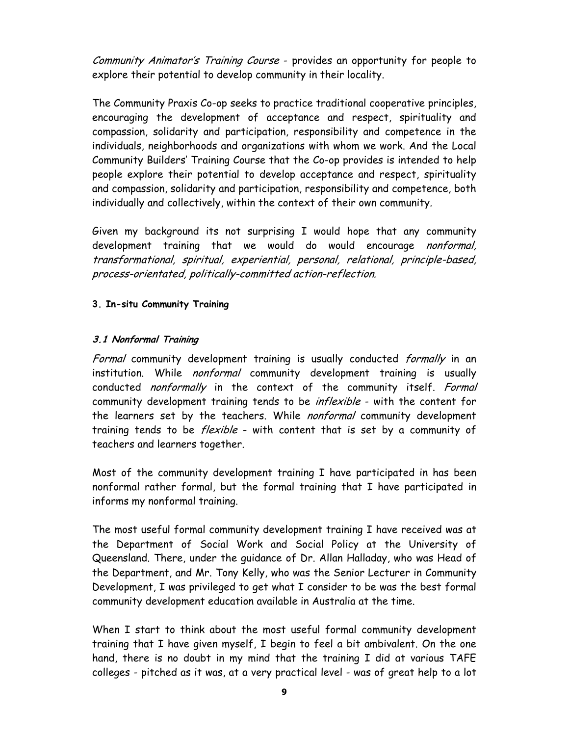Community Animator's Training Course - provides an opportunity for people to explore their potential to develop community in their locality.

The Community Praxis Co-op seeks to practice traditional cooperative principles, encouraging the development of acceptance and respect, spirituality and compassion, solidarity and participation, responsibility and competence in the individuals, neighborhoods and organizations with whom we work. And the Local Community Builders' Training Course that the Co-op provides is intended to help people explore their potential to develop acceptance and respect, spirituality and compassion, solidarity and participation, responsibility and competence, both individually and collectively, within the context of their own community.

Given my background its not surprising I would hope that any community development training that we would do would encourage nonformal, transformational, spiritual, experiential, personal, relational, principle-based, process-orientated, politically-committed action-reflection.

**3. In-situ Community Training** 

#### **3.1 Nonformal Training**

Formal community development training is usually conducted *formally* in an institution. While *nonformal* community development training is usually conducted nonformally in the context of the community itself. Formal community development training tends to be *inflexible* - with the content for the learners set by the teachers. While *nonformal* community development training tends to be *flexible* - with content that is set by a community of teachers and learners together.

Most of the community development training I have participated in has been nonformal rather formal, but the formal training that I have participated in informs my nonformal training.

The most useful formal community development training I have received was at the Department of Social Work and Social Policy at the University of Queensland. There, under the guidance of Dr. Allan Halladay, who was Head of the Department, and Mr. Tony Kelly, who was the Senior Lecturer in Community Development, I was privileged to get what I consider to be was the best formal community development education available in Australia at the time.

When I start to think about the most useful formal community development training that I have given myself, I begin to feel a bit ambivalent. On the one hand, there is no doubt in my mind that the training I did at various TAFE colleges - pitched as it was, at a very practical level - was of great help to a lot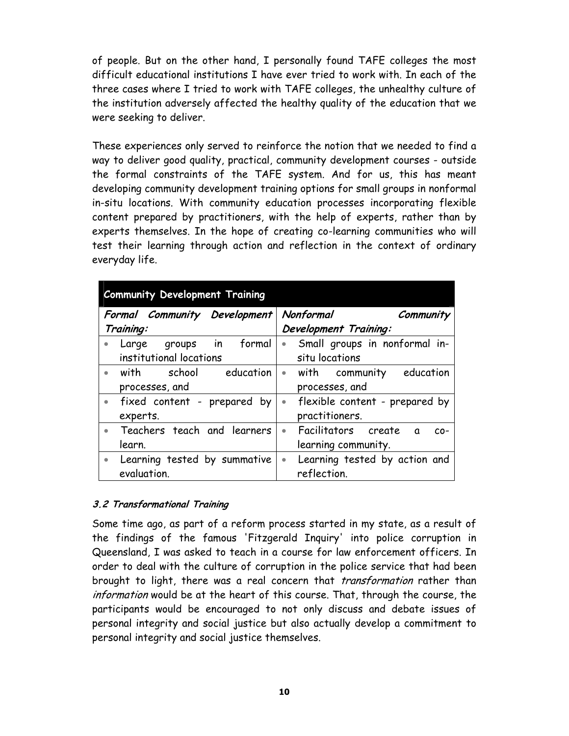of people. But on the other hand, I personally found TAFE colleges the most difficult educational institutions I have ever tried to work with. In each of the three cases where I tried to work with TAFE colleges, the unhealthy culture of the institution adversely affected the healthy quality of the education that we were seeking to deliver.

These experiences only served to reinforce the notion that we needed to find a way to deliver good quality, practical, community development courses - outside the formal constraints of the TAFE system. And for us, this has meant developing community development training options for small groups in nonformal in-situ locations. With community education processes incorporating flexible content prepared by practitioners, with the help of experts, rather than by experts themselves. In the hope of creating co-learning communities who will test their learning through action and reflection in the context of ordinary everyday life.

| <b>Community Development Training</b>     |                                                       |  |  |  |  |
|-------------------------------------------|-------------------------------------------------------|--|--|--|--|
| Formal Community Development              | Nonformal<br>Community                                |  |  |  |  |
| Training:                                 | Development Training:                                 |  |  |  |  |
| in formal<br>Large<br>groups              | · Small groups in nonformal in-                       |  |  |  |  |
| institutional locations                   | situ locations                                        |  |  |  |  |
| • with school education                   | • with community education                            |  |  |  |  |
| processes, and                            | processes, and                                        |  |  |  |  |
| • fixed content - prepared by             | flexible content - prepared by<br>$\bullet$           |  |  |  |  |
| experts.                                  | practitioners.                                        |  |  |  |  |
| Teachers teach and learners               | Facilitators create<br>$\bullet$<br>$\Omega$<br>$CO-$ |  |  |  |  |
| learn.                                    | learning community.                                   |  |  |  |  |
| Learning tested by summative<br>$\bullet$ | Learning tested by action and<br>$\bullet$            |  |  |  |  |
| evaluation.                               | reflection.                                           |  |  |  |  |

#### **3.2 Transformational Training**

Some time ago, as part of a reform process started in my state, as a result of the findings of the famous 'Fitzgerald Inquiry' into police corruption in Queensland, I was asked to teach in a course for law enforcement officers. In order to deal with the culture of corruption in the police service that had been brought to light, there was a real concern that *transformation* rather than information would be at the heart of this course. That, through the course, the participants would be encouraged to not only discuss and debate issues of personal integrity and social justice but also actually develop a commitment to personal integrity and social justice themselves.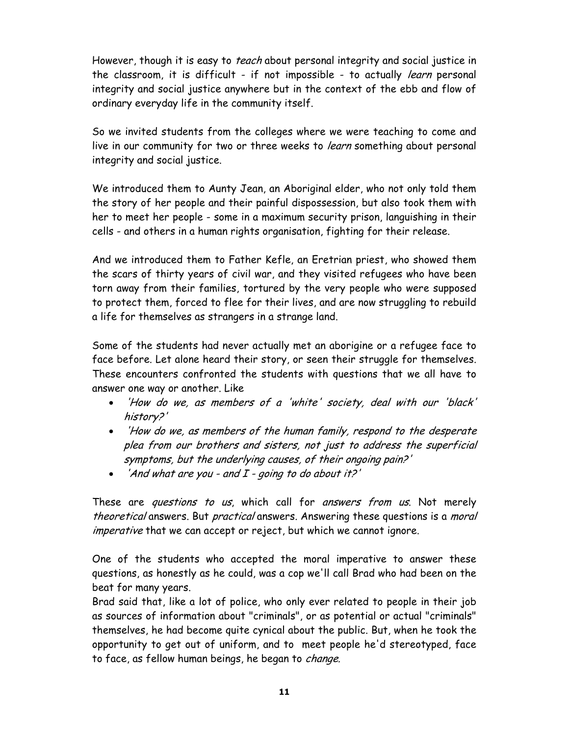However, though it is easy to *teach* about personal integrity and social justice in the classroom, it is difficult - if not impossible - to actually *learn* personal integrity and social justice anywhere but in the context of the ebb and flow of ordinary everyday life in the community itself.

So we invited students from the colleges where we were teaching to come and live in our community for two or three weeks to learn something about personal integrity and social justice.

We introduced them to Aunty Jean, an Aboriginal elder, who not only told them the story of her people and their painful dispossession, but also took them with her to meet her people - some in a maximum security prison, languishing in their cells - and others in a human rights organisation, fighting for their release.

And we introduced them to Father Kefle, an Eretrian priest, who showed them the scars of thirty years of civil war, and they visited refugees who have been torn away from their families, tortured by the very people who were supposed to protect them, forced to flee for their lives, and are now struggling to rebuild a life for themselves as strangers in a strange land.

Some of the students had never actually met an aborigine or a refugee face to face before. Let alone heard their story, or seen their struggle for themselves. These encounters confronted the students with questions that we all have to answer one way or another. Like

- 'How do we, as members of a 'white' society, deal with our 'black' history?'
- 'How do we, as members of the human family, respond to the desperate plea from our brothers and sisters, not just to address the superficial symptoms, but the underlying causes, of their ongoing pain?'
- 'And what are you and  $I$  going to do about it?'

These are questions to us, which call for answers from us. Not merely theoretical answers. But practical answers. Answering these questions is a moral imperative that we can accept or reject, but which we cannot ignore.

One of the students who accepted the moral imperative to answer these questions, as honestly as he could, was a cop we'll call Brad who had been on the beat for many years.

Brad said that, like a lot of police, who only ever related to people in their job as sources of information about "criminals", or as potential or actual "criminals" themselves, he had become quite cynical about the public. But, when he took the opportunity to get out of uniform, and to meet people he'd stereotyped, face to face, as fellow human beings, he began to change.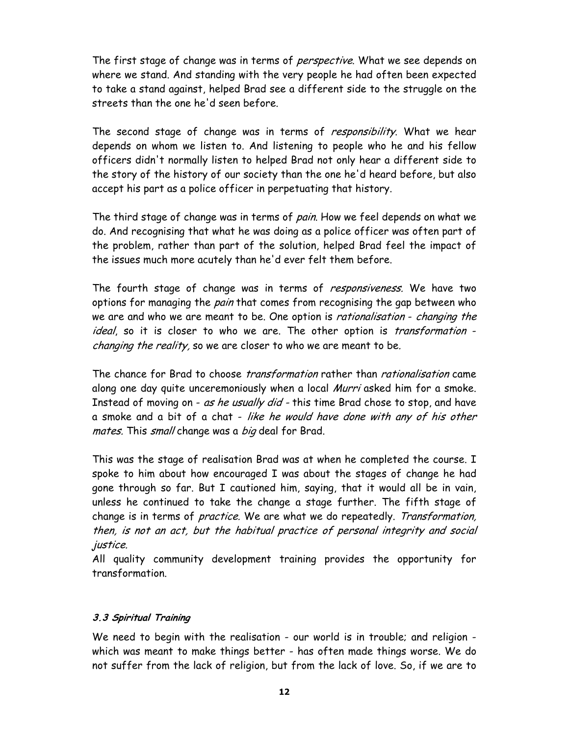The first stage of change was in terms of *perspective*. What we see depends on where we stand. And standing with the very people he had often been expected to take a stand against, helped Brad see a different side to the struggle on the streets than the one he'd seen before.

The second stage of change was in terms of *responsibility*. What we hear depends on whom we listen to. And listening to people who he and his fellow officers didn't normally listen to helped Brad not only hear a different side to the story of the history of our society than the one he'd heard before, but also accept his part as a police officer in perpetuating that history.

The third stage of change was in terms of *pain*. How we feel depends on what we do. And recognising that what he was doing as a police officer was often part of the problem, rather than part of the solution, helped Brad feel the impact of the issues much more acutely than he'd ever felt them before.

The fourth stage of change was in terms of *responsiveness*. We have two options for managing the pain that comes from recognising the gap between who we are and who we are meant to be. One option is rationalisation - changing the ideal, so it is closer to who we are. The other option is *transformation* changing the reality, so we are closer to who we are meant to be.

The chance for Brad to choose *transformation* rather than *rationalisation* came along one day quite unceremoniously when a local *Murri* asked him for a smoke. Instead of moving on - as he usually did - this time Brad chose to stop, and have a smoke and a bit of a chat - like he would have done with any of his other mates. This small change was a big deal for Brad.

This was the stage of realisation Brad was at when he completed the course. I spoke to him about how encouraged I was about the stages of change he had gone through so far. But I cautioned him, saying, that it would all be in vain, unless he continued to take the change a stage further. The fifth stage of change is in terms of *practice*. We are what we do repeatedly. Transformation, then, is not an act, but the habitual practice of personal integrity and social justice.

All quality community development training provides the opportunity for transformation.

#### **3.3 Spiritual Training**

We need to begin with the realisation - our world is in trouble; and religion which was meant to make things better - has often made things worse. We do not suffer from the lack of religion, but from the lack of love. So, if we are to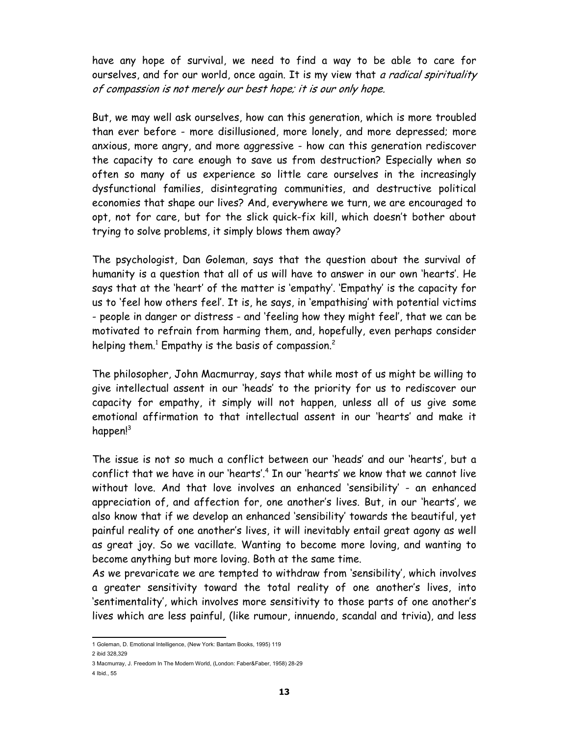have any hope of survival, we need to find a way to be able to care for ourselves, and for our world, once again. It is my view that a radical spirituality of compassion is not merely our best hope; it is our only hope.

But, we may well ask ourselves, how can this generation, which is more troubled than ever before - more disillusioned, more lonely, and more depressed; more anxious, more angry, and more aggressive - how can this generation rediscover the capacity to care enough to save us from destruction? Especially when so often so many of us experience so little care ourselves in the increasingly dysfunctional families, disintegrating communities, and destructive political economies that shape our lives? And, everywhere we turn, we are encouraged to opt, not for care, but for the slick quick-fix kill, which doesn't bother about trying to solve problems, it simply blows them away?

The psychologist, Dan Goleman, says that the question about the survival of humanity is a question that all of us will have to answer in our own 'hearts'. He says that at the 'heart' of the matter is 'empathy'. 'Empathy' is the capacity for us to 'feel how others feel'. It is, he says, in 'empathising' with potential victims - people in danger or distress - and 'feeling how they might feel', that we can be motivated to refrain from harming them, and, hopefully, even perhaps consider helping them. $^1$  Empathy is the basis of compassion. $^2$ 

The philosopher, John Macmurray, says that while most of us might be willing to give intellectual assent in our 'heads' to the priority for us to rediscover our capacity for empathy, it simply will not happen, unless all of us give some emotional affirmation to that intellectual assent in our 'hearts' and make it happen!<sup>3</sup>

The issue is not so much a conflict between our 'heads' and our 'hearts', but a conflict that we have in our 'hearts'.<sup>4</sup> In our 'hearts' we know that we cannot live without love. And that love involves an enhanced 'sensibility' - an enhanced appreciation of, and affection for, one another's lives. But, in our 'hearts', we also know that if we develop an enhanced 'sensibility' towards the beautiful, yet painful reality of one another's lives, it will inevitably entail great agony as well as great joy. So we vacillate. Wanting to become more loving, and wanting to become anything but more loving. Both at the same time.

As we prevaricate we are tempted to withdraw from 'sensibility', which involves a greater sensitivity toward the total reality of one another's lives, into 'sentimentality', which involves more sensitivity to those parts of one another's lives which are less painful, (like rumour, innuendo, scandal and trivia), and less

4 Ibid., 55

 1 Goleman, D. Emotional Intelligence, (New York: Bantam Books, 1995) 119

<sup>2</sup> ibid 328,329

<sup>3</sup> Macmurray, J. Freedom In The Modern World, (London: Faber&Faber, 1958) 28-29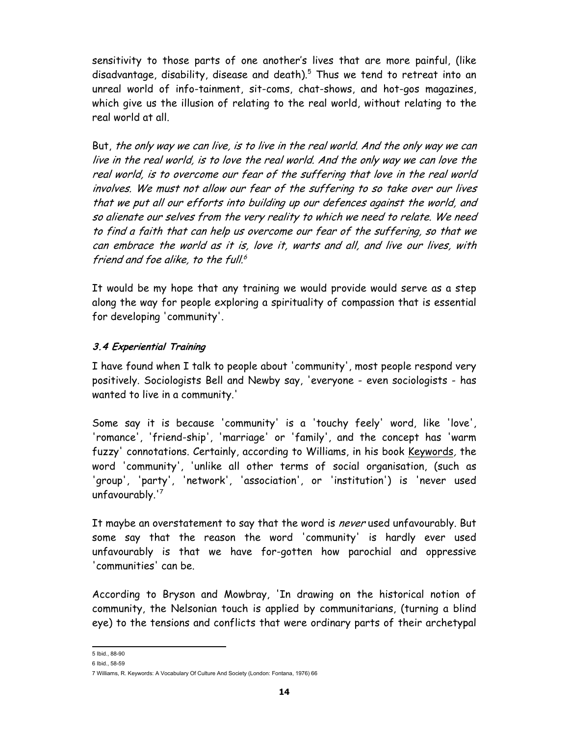sensitivity to those parts of one another's lives that are more painful, (like disadvantage, disability, disease and death).<sup>5</sup> Thus we tend to retreat into an unreal world of info-tainment, sit-coms, chat-shows, and hot-gos magazines, which give us the illusion of relating to the real world, without relating to the real world at all.

But, the only way we can live, is to live in the real world. And the only way we can live in the real world, is to love the real world. And the only way we can love the real world, is to overcome our fear of the suffering that love in the real world involves. We must not allow our fear of the suffering to so take over our lives that we put all our efforts into building up our defences against the world, and so alienate our selves from the very reality to which we need to relate. We need to find a faith that can help us overcome our fear of the suffering, so that we can embrace the world as it is, love it, warts and all, and live our lives, with friend and foe alike, to the full.<sup>6</sup>

It would be my hope that any training we would provide would serve as a step along the way for people exploring a spirituality of compassion that is essential for developing 'community'.

#### **3.4 Experiential Training**

I have found when I talk to people about 'community', most people respond very positively. Sociologists Bell and Newby say, 'everyone - even sociologists - has wanted to live in a community.'

Some say it is because 'community' is a 'touchy feely' word, like 'love', 'romance', 'friend-ship', 'marriage' or 'family', and the concept has 'warm fuzzy' connotations. Certainly, according to Williams, in his book Keywords, the word 'community', 'unlike all other terms of social organisation, (such as 'group', 'party', 'network', 'association', or 'institution') is 'never used unfavourably.'7

It maybe an overstatement to say that the word is never used unfavourably. But some say that the reason the word 'community' is hardly ever used unfavourably is that we have for-gotten how parochial and oppressive 'communities' can be.

According to Bryson and Mowbray, 'In drawing on the historical notion of community, the Nelsonian touch is applied by communitarians, (turning a blind eye) to the tensions and conflicts that were ordinary parts of their archetypal

 5 Ibid., 88-90

<sup>6</sup> Ibid., 58-59

<sup>7</sup> Williams, R. Keywords: A Vocabulary Of Culture And Society (London: Fontana, 1976) 66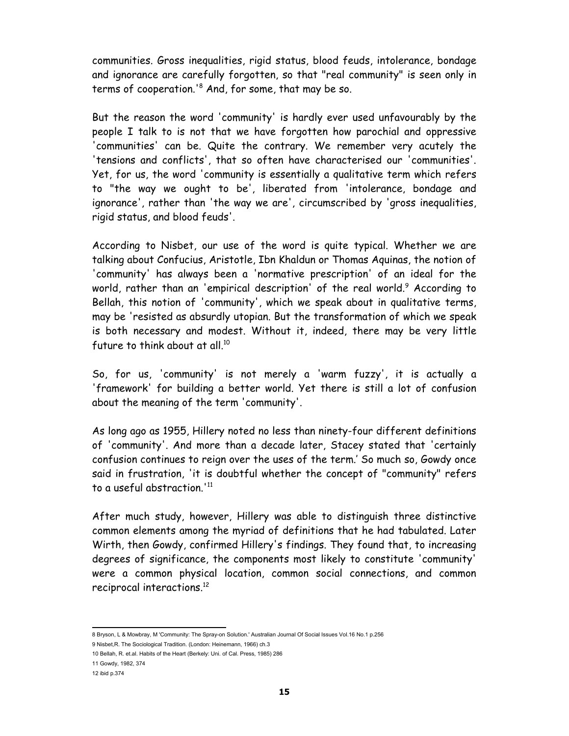communities. Gross inequalities, rigid status, blood feuds, intolerance, bondage and ignorance are carefully forgotten, so that "real community" is seen only in terms of cooperation.'8 And, for some, that may be so.

But the reason the word 'community' is hardly ever used unfavourably by the people I talk to is not that we have forgotten how parochial and oppressive 'communities' can be. Quite the contrary. We remember very acutely the 'tensions and conflicts', that so often have characterised our 'communities'. Yet, for us, the word 'community is essentially a qualitative term which refers to "the way we ought to be', liberated from 'intolerance, bondage and ignorance', rather than 'the way we are', circumscribed by 'gross inequalities, rigid status, and blood feuds'.

According to Nisbet, our use of the word is quite typical. Whether we are talking about Confucius, Aristotle, Ibn Khaldun or Thomas Aquinas, the notion of 'community' has always been a 'normative prescription' of an ideal for the world, rather than an 'empirical description' of the real world.<sup>9</sup> According to Bellah, this notion of 'community', which we speak about in qualitative terms, may be 'resisted as absurdly utopian. But the transformation of which we speak is both necessary and modest. Without it, indeed, there may be very little future to think about at all.<sup>10</sup>

So, for us, 'community' is not merely a 'warm fuzzy', it is actually a 'framework' for building a better world. Yet there is still a lot of confusion about the meaning of the term 'community'.

As long ago as 1955, Hillery noted no less than ninety-four different definitions of 'community'. And more than a decade later, Stacey stated that 'certainly confusion continues to reign over the uses of the term.' So much so, Gowdy once said in frustration, 'it is doubtful whether the concept of "community" refers to a useful abstraction.'11

After much study, however, Hillery was able to distinguish three distinctive common elements among the myriad of definitions that he had tabulated. Later Wirth, then Gowdy, confirmed Hillery's findings. They found that, to increasing degrees of significance, the components most likely to constitute 'community' were a common physical location, common social connections, and common reciprocal interactions.<sup>12</sup>

 8 Bryson, L & Mowbray, M 'Community: The Spray-on Solution.' Australian Journal Of Social Issues Vol.16 No.1 p.256

<sup>9</sup> Nisbet,R. The Sociological Tradition. (London: Heinemann, 1966) ch.3

<sup>10</sup> Bellah, R. et.al. Habits of the Heart (Berkely: Uni. of Cal. Press, 1985) 286

<sup>11</sup> Gowdy, 1982, 374

<sup>12</sup> ibid p.374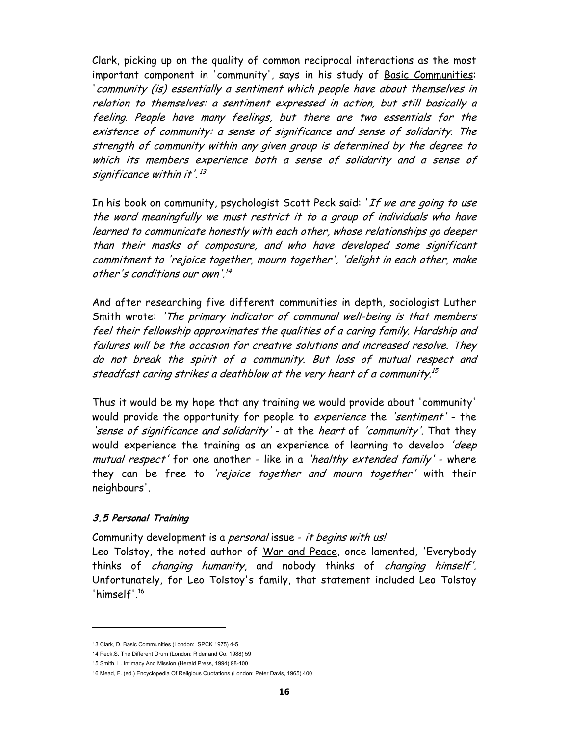Clark, picking up on the quality of common reciprocal interactions as the most important component in 'community', says in his study of Basic Communities: 'community (is) essentially a sentiment which people have about themselves in relation to themselves: a sentiment expressed in action, but still basically a feeling. People have many feelings, but there are two essentials for the existence of community: a sense of significance and sense of solidarity. The strength of community within any given group is determined by the degree to which its members experience both a sense of solidarity and a sense of significance within it'.<sup>13</sup>

In his book on community, psychologist Scott Peck said: 'If we are going to use the word meaningfully we must restrict it to a group of individuals who have learned to communicate honestly with each other, whose relationships go deeper than their masks of composure, and who have developed some significant commitment to 'rejoice together, mourn together', 'delight in each other, make other's conditions our own'.<sup>14</sup>

And after researching five different communities in depth, sociologist Luther Smith wrote: 'The primary indicator of communal well-being is that members feel their fellowship approximates the qualities of a caring family. Hardship and failures will be the occasion for creative solutions and increased resolve. They do not break the spirit of a community. But loss of mutual respect and steadfast caring strikes a deathblow at the very heart of a community. $15$ 

Thus it would be my hope that any training we would provide about 'community' would provide the opportunity for people to *experience* the *'sentiment'* - the 'sense of significance and solidarity' - at the heart of 'community'. That they would experience the training as an experience of learning to develop 'deep mutual respect' for one another - like in a 'healthy extended family' - where they can be free to 'rejoice together and mourn together' with their neighbours'.

#### **3.5 Personal Training**

-

Community development is a *personal* issue - it begins with us!

Leo Tolstoy, the noted author of War and Peace, once lamented, 'Everybody thinks of changing humanity, and nobody thinks of changing himself'. Unfortunately, for Leo Tolstoy's family, that statement included Leo Tolstoy 'himself'.16

<sup>13</sup> Clark, D. Basic Communities (London: SPCK 1975) 4-5

<sup>14</sup> Peck,S. The Different Drum (London: Rider and Co. 1988) 59

<sup>15</sup> Smith, L. Intimacy And Mission (Herald Press, 1994) 98-100

<sup>16</sup> Mead, F. (ed.) Encyclopedia Of Religious Quotations (London: Peter Davis, 1965).400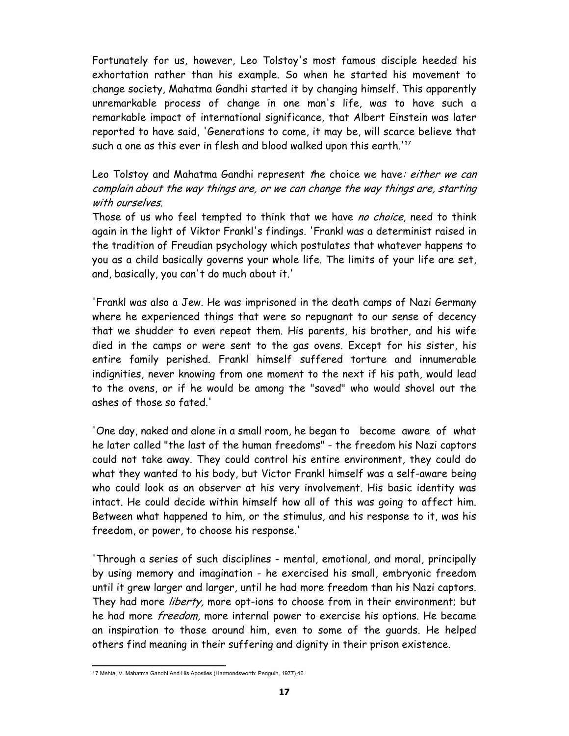Fortunately for us, however, Leo Tolstoy's most famous disciple heeded his exhortation rather than his example. So when he started his movement to change society, Mahatma Gandhi started it by changing himself. This apparently unremarkable process of change in one man's life, was to have such a remarkable impact of international significance, that Albert Einstein was later reported to have said, 'Generations to come, it may be, will scarce believe that such a one as this ever in flesh and blood walked upon this earth.<sup>'17</sup>

Leo Tolstoy and Mahatma Gandhi represent the choice we have: either we can complain about the way things are, or we can change the way things are, starting with ourselves.

Those of us who feel tempted to think that we have no choice, need to think again in the light of Viktor Frankl's findings. 'Frankl was a determinist raised in the tradition of Freudian psychology which postulates that whatever happens to you as a child basically governs your whole life. The limits of your life are set, and, basically, you can't do much about it.'

'Frankl was also a Jew. He was imprisoned in the death camps of Nazi Germany where he experienced things that were so repugnant to our sense of decency that we shudder to even repeat them. His parents, his brother, and his wife died in the camps or were sent to the gas ovens. Except for his sister, his entire family perished. Frankl himself suffered torture and innumerable indignities, never knowing from one moment to the next if his path, would lead to the ovens, or if he would be among the "saved" who would shovel out the ashes of those so fated.'

'One day, naked and alone in a small room, he began to become aware of what he later called "the last of the human freedoms" - the freedom his Nazi captors could not take away. They could control his entire environment, they could do what they wanted to his body, but Victor Frankl himself was a self-aware being who could look as an observer at his very involvement. His basic identity was intact. He could decide within himself how all of this was going to affect him. Between what happened to him, or the stimulus, and his response to it, was his freedom, or power, to choose his response.'

'Through a series of such disciplines - mental, emotional, and moral, principally by using memory and imagination - he exercised his small, embryonic freedom until it grew larger and larger, until he had more freedom than his Nazi captors. They had more *liberty*, more opt-ions to choose from in their environment; but he had more freedom, more internal power to exercise his options. He became an inspiration to those around him, even to some of the guards. He helped others find meaning in their suffering and dignity in their prison existence.

 17 Mehta, V. Mahatma Gandhi And His Apostles (Harmondsworth: Penguin, 1977) 46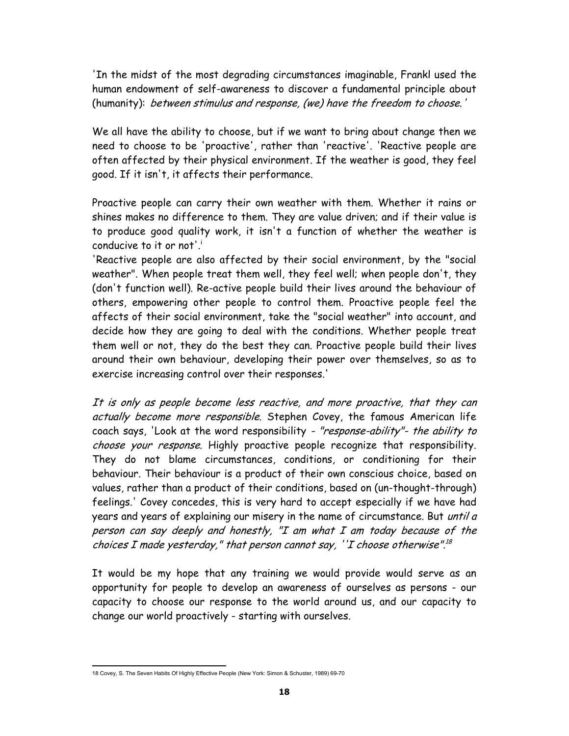'In the midst of the most degrading circumstances imaginable, Frankl used the human endowment of self-awareness to discover a fundamental principle about (humanity): between stimulus and response, (we) have the freedom to choose.'

We all have the ability to choose, but if we want to bring about change then we need to choose to be 'proactive', rather than 'reactive'. 'Reactive people are often affected by their physical environment. If the weather is good, they feel good. If it isn't, it affects their performance.

Proactive people can carry their own weather with them. Whether it rains or shines makes no difference to them. They are value driven; and if their value is to produce good quality work, it isn't a function of whether the weather is conducive to it or not'.<sup>i</sup>

'Reactive people are also affected by their social environment, by the "social weather". When people treat them well, they feel well; when people don't, they (don't function well). Re-active people build their lives around the behaviour of others, empowering other people to control them. Proactive people feel the affects of their social environment, take the "social weather" into account, and decide how they are going to deal with the conditions. Whether people treat them well or not, they do the best they can. Proactive people build their lives around their own behaviour, developing their power over themselves, so as to exercise increasing control over their responses.'

It is only as people become less reactive, and more proactive, that they can actually become more responsible. Stephen Covey, the famous American life coach says, 'Look at the word responsibility - "response-ability"- the ability to choose your response. Highly proactive people recognize that responsibility. They do not blame circumstances, conditions, or conditioning for their behaviour. Their behaviour is a product of their own conscious choice, based on values, rather than a product of their conditions, based on (un-thought-through) feelings.' Covey concedes, this is very hard to accept especially if we have had years and years of explaining our misery in the name of circumstance. But until a person can say deeply and honestly, "I am what I am today because of the choices I made yesterday," that person cannot say, ''I choose otherwise".<sup>18</sup>

It would be my hope that any training we would provide would serve as an opportunity for people to develop an awareness of ourselves as persons - our capacity to choose our response to the world around us, and our capacity to change our world proactively - starting with ourselves.

 18 Covey, S. The Seven Habits Of Highly Effective People (New York: Simon & Schuster, 1989) 69-70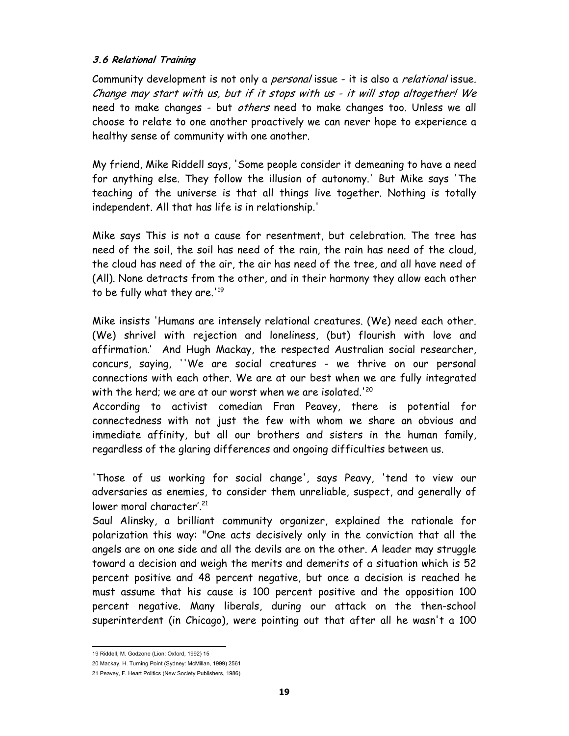#### **3.6 Relational Training**

Community development is not only a *personal* issue - it is also a *relational* issue. Change may start with us, but if it stops with us - it will stop altogether! We need to make changes - but others need to make changes too. Unless we all choose to relate to one another proactively we can never hope to experience a healthy sense of community with one another.

My friend, Mike Riddell says, 'Some people consider it demeaning to have a need for anything else. They follow the illusion of autonomy.' But Mike says 'The teaching of the universe is that all things live together. Nothing is totally independent. All that has life is in relationship.'

Mike says This is not a cause for resentment, but celebration. The tree has need of the soil, the soil has need of the rain, the rain has need of the cloud, the cloud has need of the air, the air has need of the tree, and all have need of (All). None detracts from the other, and in their harmony they allow each other to be fully what they are.<sup>'19</sup>

Mike insists 'Humans are intensely relational creatures. (We) need each other. (We) shrivel with rejection and loneliness, (but) flourish with love and affirmation.' And Hugh Mackay, the respected Australian social researcher, concurs, saying, ''We are social creatures - we thrive on our personal connections with each other. We are at our best when we are fully integrated with the herd; we are at our worst when we are isolated.<sup>'20</sup>

According to activist comedian Fran Peavey, there is potential for connectedness with not just the few with whom we share an obvious and immediate affinity, but all our brothers and sisters in the human family, regardless of the glaring differences and ongoing difficulties between us.

'Those of us working for social change', says Peavy, 'tend to view our adversaries as enemies, to consider them unreliable, suspect, and generally of lower moral character'.<sup>21</sup>

Saul Alinsky, a brilliant community organizer, explained the rationale for polarization this way: "One acts decisively only in the conviction that all the angels are on one side and all the devils are on the other. A leader may struggle toward a decision and weigh the merits and demerits of a situation which is 52 percent positive and 48 percent negative, but once a decision is reached he must assume that his cause is 100 percent positive and the opposition 100 percent negative. Many liberals, during our attack on the then-school superinterdent (in Chicago), were pointing out that after all he wasn't a 100

 19 Riddell, M. Godzone (Lion: Oxford, 1992) 15

<sup>20</sup> Mackay, H. Turning Point (Sydney: McMillan, 1999) 2561

<sup>21</sup> Peavey, F. Heart Politics (New Society Publishers, 1986)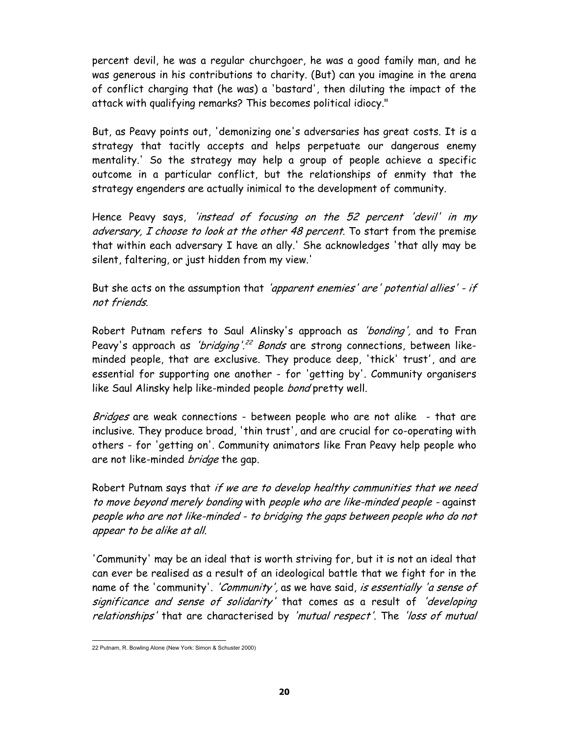percent devil, he was a regular churchgoer, he was a good family man, and he was generous in his contributions to charity. (But) can you imagine in the arena of conflict charging that (he was) a 'bastard', then diluting the impact of the attack with qualifying remarks? This becomes political idiocy."

But, as Peavy points out, 'demonizing one's adversaries has great costs. It is a strategy that tacitly accepts and helps perpetuate our dangerous enemy mentality.' So the strategy may help a group of people achieve a specific outcome in a particular conflict, but the relationships of enmity that the strategy engenders are actually inimical to the development of community.

Hence Peavy says, 'instead of focusing on the 52 percent 'devil' in my adversary, I choose to look at the other 48 percent. To start from the premise that within each adversary I have an ally.' She acknowledges 'that ally may be silent, faltering, or just hidden from my view.'

But she acts on the assumption that 'apparent enemies' are' potential allies' - if not friends.

Robert Putnam refers to Saul Alinsky's approach as 'bonding', and to Fran Peavy's approach as 'bridging'.<sup>22</sup> Bonds are strong connections, between likeminded people, that are exclusive. They produce deep, 'thick' trust', and are essential for supporting one another - for 'getting by'. Community organisers like Saul Alinsky help like-minded people bond pretty well.

Bridges are weak connections - between people who are not alike - that are inclusive. They produce broad, 'thin trust', and are crucial for co-operating with others - for 'getting on'. Community animators like Fran Peavy help people who are not like-minded *bridge* the gap.

Robert Putnam says that if we are to develop healthy communities that we need to move beyond merely bonding with people who are like-minded people - against people who are not like-minded - to bridging the gaps between people who do not appear to be alike at all.

'Community' may be an ideal that is worth striving for, but it is not an ideal that can ever be realised as a result of an ideological battle that we fight for in the name of the 'community'. 'Community', as we have said, is essentially 'a sense of significance and sense of solidarity' that comes as a result of 'developing relationships' that are characterised by 'mutual respect'. The 'loss of mutual

 22 Putnam, R. Bowling Alone (New York: Simon & Schuster 2000)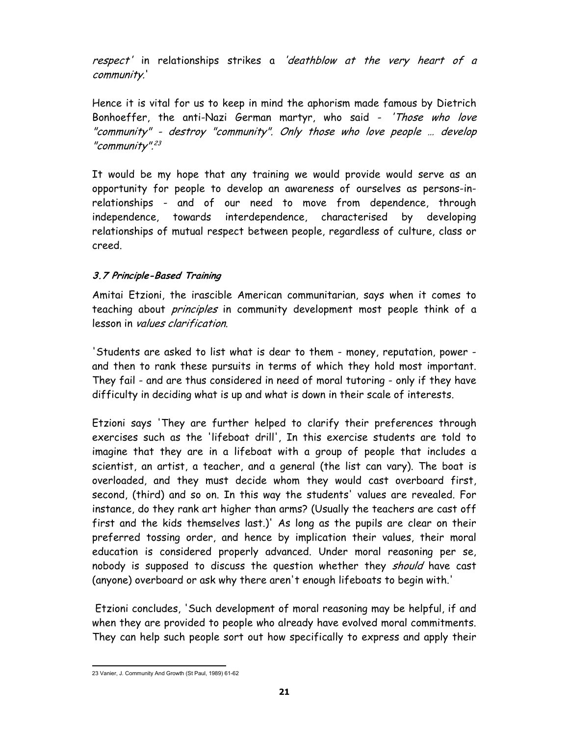respect' in relationships strikes a 'deathblow at the very heart of a community.'

Hence it is vital for us to keep in mind the aphorism made famous by Dietrich Bonhoeffer, the anti-Nazi German martyr, who said - 'Those who love "community" - destroy "community". Only those who love people … develop "community".<sup>23</sup>

It would be my hope that any training we would provide would serve as an opportunity for people to develop an awareness of ourselves as persons-inrelationships - and of our need to move from dependence, through independence, towards interdependence, characterised by developing relationships of mutual respect between people, regardless of culture, class or creed.

#### **3.7 Principle-Based Training**

Amitai Etzioni, the irascible American communitarian, says when it comes to teaching about *principles* in community development most people think of a lesson in values clarification.

'Students are asked to list what is dear to them - money, reputation, power and then to rank these pursuits in terms of which they hold most important. They fail - and are thus considered in need of moral tutoring - only if they have difficulty in deciding what is up and what is down in their scale of interests.

Etzioni says 'They are further helped to clarify their preferences through exercises such as the 'lifeboat drill', In this exercise students are told to imagine that they are in a lifeboat with a group of people that includes a scientist, an artist, a teacher, and a general (the list can vary). The boat is overloaded, and they must decide whom they would cast overboard first, second, (third) and so on. In this way the students' values are revealed. For instance, do they rank art higher than arms? (Usually the teachers are cast off first and the kids themselves last.)' As long as the pupils are clear on their preferred tossing order, and hence by implication their values, their moral education is considered properly advanced. Under moral reasoning per se, nobody is supposed to discuss the question whether they should have cast (anyone) overboard or ask why there aren't enough lifeboats to begin with.'

 Etzioni concludes, 'Such development of moral reasoning may be helpful, if and when they are provided to people who already have evolved moral commitments. They can help such people sort out how specifically to express and apply their

 23 Vanier, J. Community And Growth (St Paul, 1989) 61-62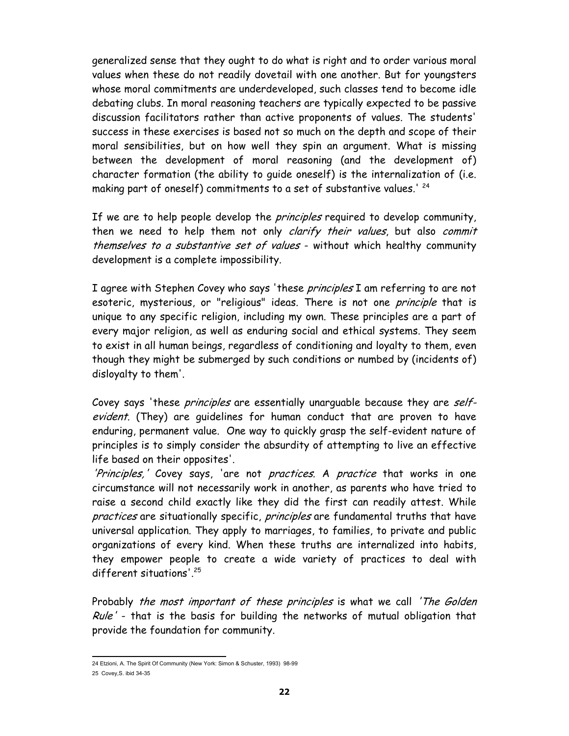generalized sense that they ought to do what is right and to order various moral values when these do not readily dovetail with one another. But for youngsters whose moral commitments are underdeveloped, such classes tend to become idle debating clubs. In moral reasoning teachers are typically expected to be passive discussion facilitators rather than active proponents of values. The students' success in these exercises is based not so much on the depth and scope of their moral sensibilities, but on how well they spin an argument. What is missing between the development of moral reasoning (and the development of) character formation (the ability to guide oneself) is the internalization of (i.e. making part of oneself) commitments to a set of substantive values.<sup>' 24</sup>

If we are to help people develop the *principles* required to develop community, then we need to help them not only clarify their values, but also commit themselves to a substantive set of values - without which healthy community development is a complete impossibility.

I agree with Stephen Covey who says 'these *principles* I am referring to are not esoteric, mysterious, or "religious" ideas. There is not one *principle* that is unique to any specific religion, including my own. These principles are a part of every major religion, as well as enduring social and ethical systems. They seem to exist in all human beings, regardless of conditioning and loyalty to them, even though they might be submerged by such conditions or numbed by (incidents of) disloyalty to them'.

Covey says 'these *principles* are essentially unarquable because they are *self*evident. (They) are quidelines for human conduct that are proven to have enduring, permanent value. One way to quickly grasp the self-evident nature of principles is to simply consider the absurdity of attempting to live an effective life based on their opposites'.

'Principles,' Covey says, 'are not practices. A practice that works in one circumstance will not necessarily work in another, as parents who have tried to raise a second child exactly like they did the first can readily attest. While practices are situationally specific, principles are fundamental truths that have universal application. They apply to marriages, to families, to private and public organizations of every kind. When these truths are internalized into habits, they empower people to create a wide variety of practices to deal with different situations'.<sup>25</sup>

Probably the most important of these principles is what we call 'The Golden Rule' - that is the basis for building the networks of mutual obligation that provide the foundation for community.

 24 Etzioni, A. The Spirit Of Community (New York: Simon & Schuster, 1993) 98-99

<sup>25</sup> Covey S. ibid 34-35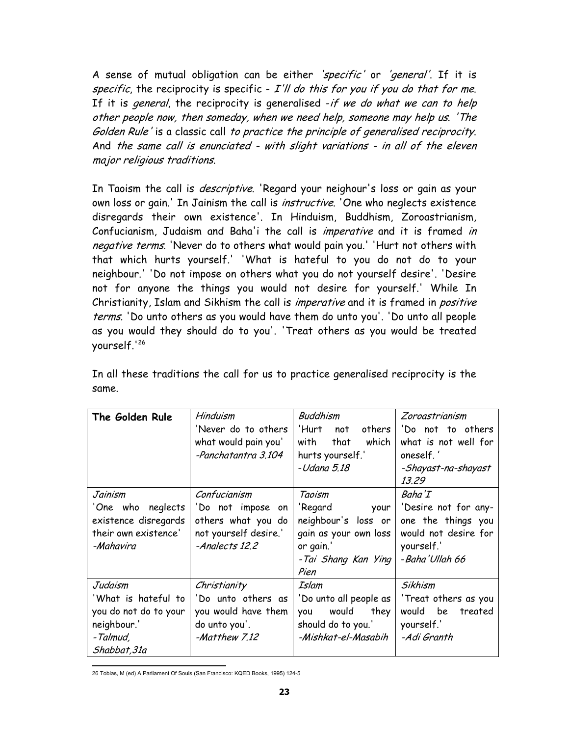A sense of mutual obligation can be either 'specific' or 'general'. If it is specific, the reciprocity is specific -  $I'll$  do this for you if you do that for me. If it is general, the reciprocity is generalised  $-i f$  we do what we can to help other people now, then someday, when we need help, someone may help us. 'The Golden Rule' is a classic call to practice the principle of generalised reciprocity. And the same call is enunciated - with slight variations - in all of the eleven major religious traditions.

In Taoism the call is *descriptive*. 'Regard your neighour's loss or gain as your own loss or gain.' In Jainism the call is *instructive*. 'One who neglects existence disregards their own existence'. In Hinduism, Buddhism, Zoroastrianism, Confucianism, Judaism and Baha'i the call is *imperative* and it is framed in negative terms. 'Never do to others what would pain you.' 'Hurt not others with that which hurts yourself.' 'What is hateful to you do not do to your neighbour.' 'Do not impose on others what you do not yourself desire'. 'Desire not for anyone the things you would not desire for yourself.' While In Christianity, Islam and Sikhism the call is *imperative* and it is framed in *positive* terms. 'Do unto others as you would have them do unto you'. 'Do unto all people as you would they should do to you'. 'Treat others as you would be treated yourself.'26

| The Golden Rule       | Hinduism              | Buddhism               | Zoroastrianism         |
|-----------------------|-----------------------|------------------------|------------------------|
|                       | 'Never do to others   | 'Hurt<br>others<br>not | 'Do not to others      |
|                       | what would pain you'  | which<br>with<br>that  | what is not well for   |
|                       | -Panchatantra 3.104   | hurts yourself.'       | oneself.'              |
|                       |                       | - Udana 5.18           | -Shayast-na-shayast    |
|                       |                       |                        | 13.29                  |
| Jainism               | Confucianism          | Taoism                 | Baha'I                 |
| neglects<br>'One who  | 'Do not impose on     | 'Regard<br>your        | 'Desire not for any-   |
| existence disregards  | others what you do    | neighbour's loss or    | one the things you     |
| their own existence'  | not yourself desire.' | gain as your own loss  | would not desire for   |
| -Mahavira             | -Analects 12.2        | or gain.'              | yourself.'             |
|                       |                       | -Tai Shang Kan Ying    | - Baha' Ullah 66       |
|                       |                       | Pien                   |                        |
| Judaism               | Christianity          | Islam                  | <b>Sikhism</b>         |
| 'What is hateful to   | 'Do unto others as    | 'Do unto all people as | 'Treat others as you   |
| you do not do to your | you would have them   | would<br>they<br>you   | be<br>would<br>treated |
| neighbour.'           | do unto you'.         | should do to you.'     | yourself.'             |
| - Talmud,             | -Matthew 7.12         | -Mishkat-el-Masabih    | -Adi Granth            |
| Shabbat, 31a          |                       |                        |                        |

In all these traditions the call for us to practice generalised reciprocity is the same.

 26 Tobias, M (ed) A Parliament Of Souls (San Francisco: KQED Books, 1995) 124-5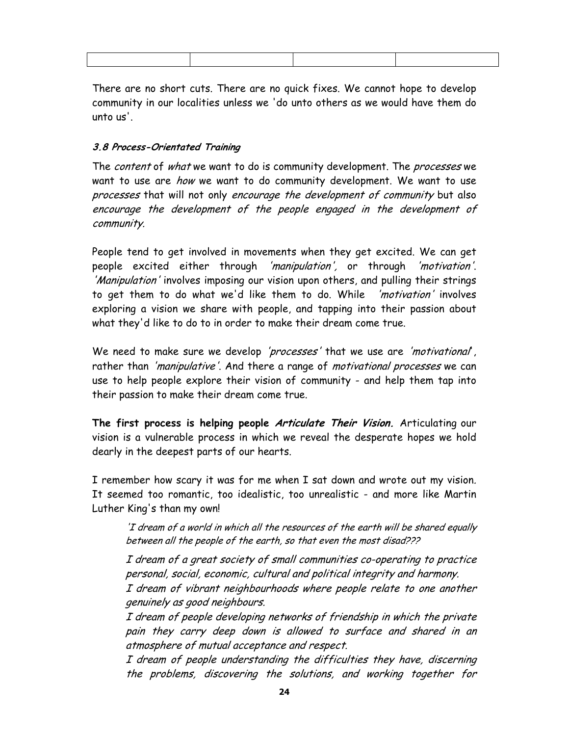There are no short cuts. There are no quick fixes. We cannot hope to develop community in our localities unless we 'do unto others as we would have them do unto us'.

#### **3.8 Process-Orientated Training**

The content of what we want to do is community development. The processes we want to use are *how* we want to do community development. We want to use processes that will not only encourage the development of community but also encourage the development of the people engaged in the development of community.

People tend to get involved in movements when they get excited. We can get people excited either through 'manipulation', or through 'motivation'. 'Manipulation' involves imposing our vision upon others, and pulling their strings to get them to do what we'd like them to do. While 'motivation' involves exploring a vision we share with people, and tapping into their passion about what they'd like to do to in order to make their dream come true.

We need to make sure we develop 'processes' that we use are 'motivational', rather than 'manipulative'. And there a range of motivational processes we can use to help people explore their vision of community - and help them tap into their passion to make their dream come true.

**The first process is helping people Articulate Their Vision.** Articulating our vision is a vulnerable process in which we reveal the desperate hopes we hold dearly in the deepest parts of our hearts.

I remember how scary it was for me when I sat down and wrote out my vision. It seemed too romantic, too idealistic, too unrealistic - and more like Martin Luther King's than my own!

'I dream of a world in which all the resources of the earth will be shared equally between all the people of the earth, so that even the most disad???

I dream of a great society of small communities co-operating to practice personal, social, economic, cultural and political integrity and harmony. I dream of vibrant neighbourhoods where people relate to one another

genuinely as good neighbours.

I dream of people developing networks of friendship in which the private pain they carry deep down is allowed to surface and shared in an atmosphere of mutual acceptance and respect.

I dream of people understanding the difficulties they have, discerning the problems, discovering the solutions, and working together for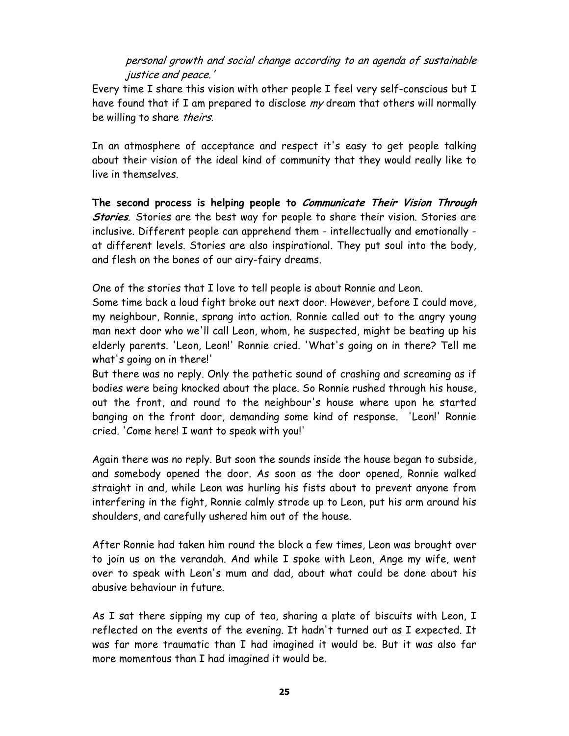personal growth and social change according to an agenda of sustainable justice and peace.'

Every time I share this vision with other people I feel very self-conscious but I have found that if I am prepared to disclose my dream that others will normally be willing to share theirs.

In an atmosphere of acceptance and respect it's easy to get people talking about their vision of the ideal kind of community that they would really like to live in themselves.

**The second process is helping people to Communicate Their Vision Through Stories**. Stories are the best way for people to share their vision. Stories are inclusive. Different people can apprehend them - intellectually and emotionally at different levels. Stories are also inspirational. They put soul into the body, and flesh on the bones of our airy-fairy dreams.

One of the stories that I love to tell people is about Ronnie and Leon.

Some time back a loud fight broke out next door. However, before I could move, my neighbour, Ronnie, sprang into action. Ronnie called out to the angry young man next door who we'll call Leon, whom, he suspected, might be beating up his elderly parents. 'Leon, Leon!' Ronnie cried. 'What's going on in there? Tell me what's going on in there!'

But there was no reply. Only the pathetic sound of crashing and screaming as if bodies were being knocked about the place. So Ronnie rushed through his house, out the front, and round to the neighbour's house where upon he started banging on the front door, demanding some kind of response. 'Leon!' Ronnie cried. 'Come here! I want to speak with you!'

Again there was no reply. But soon the sounds inside the house began to subside, and somebody opened the door. As soon as the door opened, Ronnie walked straight in and, while Leon was hurling his fists about to prevent anyone from interfering in the fight, Ronnie calmly strode up to Leon, put his arm around his shoulders, and carefully ushered him out of the house.

After Ronnie had taken him round the block a few times, Leon was brought over to join us on the verandah. And while I spoke with Leon, Ange my wife, went over to speak with Leon's mum and dad, about what could be done about his abusive behaviour in future.

As I sat there sipping my cup of tea, sharing a plate of biscuits with Leon, I reflected on the events of the evening. It hadn't turned out as I expected. It was far more traumatic than I had imagined it would be. But it was also far more momentous than I had imagined it would be.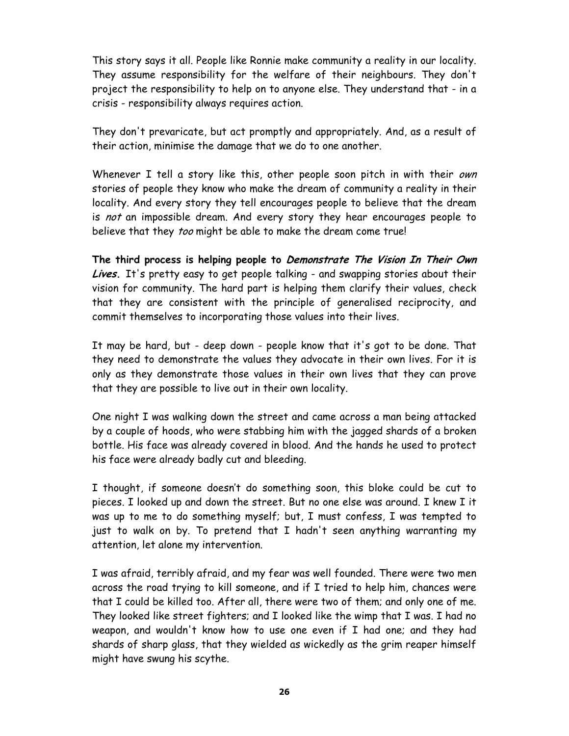This story says it all. People like Ronnie make community a reality in our locality. They assume responsibility for the welfare of their neighbours. They don't project the responsibility to help on to anyone else. They understand that - in a crisis - responsibility always requires action.

They don't prevaricate, but act promptly and appropriately. And, as a result of their action, minimise the damage that we do to one another.

Whenever I tell a story like this, other people soon pitch in with their own stories of people they know who make the dream of community a reality in their locality. And every story they tell encourages people to believe that the dream is not an impossible dream. And every story they hear encourages people to believe that they too might be able to make the dream come true!

**The third process is helping people to Demonstrate The Vision In Their Own Lives.** It's pretty easy to get people talking - and swapping stories about their vision for community. The hard part is helping them clarify their values, check that they are consistent with the principle of generalised reciprocity, and commit themselves to incorporating those values into their lives.

It may be hard, but - deep down - people know that it's got to be done. That they need to demonstrate the values they advocate in their own lives. For it is only as they demonstrate those values in their own lives that they can prove that they are possible to live out in their own locality.

One night I was walking down the street and came across a man being attacked by a couple of hoods, who were stabbing him with the jagged shards of a broken bottle. His face was already covered in blood. And the hands he used to protect his face were already badly cut and bleeding.

I thought, if someone doesn't do something soon, this bloke could be cut to pieces. I looked up and down the street. But no one else was around. I knew I it was up to me to do something myself; but, I must confess, I was tempted to just to walk on by. To pretend that I hadn't seen anything warranting my attention, let alone my intervention.

I was afraid, terribly afraid, and my fear was well founded. There were two men across the road trying to kill someone, and if I tried to help him, chances were that I could be killed too. After all, there were two of them; and only one of me. They looked like street fighters; and I looked like the wimp that I was. I had no weapon, and wouldn't know how to use one even if I had one; and they had shards of sharp glass, that they wielded as wickedly as the grim reaper himself might have swung his scythe.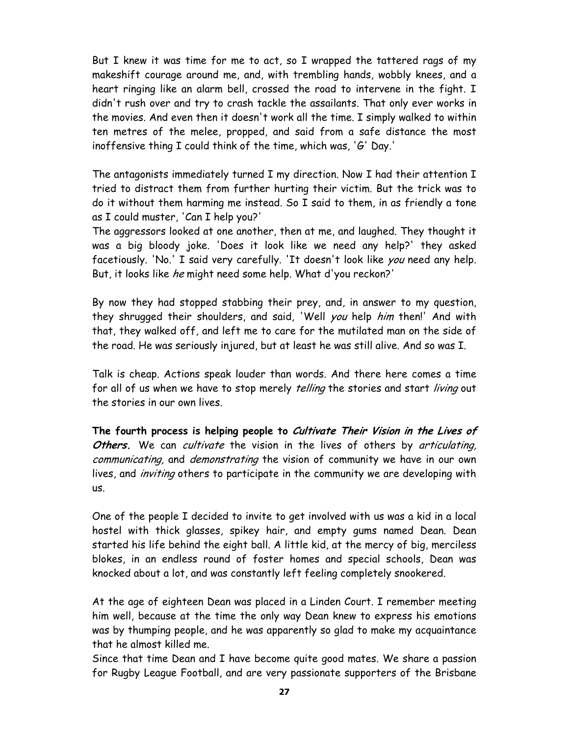But I knew it was time for me to act, so I wrapped the tattered rags of my makeshift courage around me, and, with trembling hands, wobbly knees, and a heart ringing like an alarm bell, crossed the road to intervene in the fight. I didn't rush over and try to crash tackle the assailants. That only ever works in the movies. And even then it doesn't work all the time. I simply walked to within ten metres of the melee, propped, and said from a safe distance the most inoffensive thing I could think of the time, which was, 'G' Day.'

The antagonists immediately turned I my direction. Now I had their attention I tried to distract them from further hurting their victim. But the trick was to do it without them harming me instead. So I said to them, in as friendly a tone as I could muster, 'Can I help you?'

The aggressors looked at one another, then at me, and laughed. They thought it was a big bloody joke. 'Does it look like we need any help?' they asked facetiously. 'No.' I said very carefully. 'It doesn't look like you need any help. But, it looks like he might need some help. What d'you reckon?'

By now they had stopped stabbing their prey, and, in answer to my question, they shrugged their shoulders, and said, 'Well you help him then!' And with that, they walked off, and left me to care for the mutilated man on the side of the road. He was seriously injured, but at least he was still alive. And so was I.

Talk is cheap. Actions speak louder than words. And there here comes a time for all of us when we have to stop merely *telling* the stories and start living out the stories in our own lives.

**The fourth process is helping people to Cultivate Their Vision in the Lives of Others.** We can cultivate the vision in the lives of others by articulating, communicating, and demonstrating the vision of community we have in our own lives, and *inviting* others to participate in the community we are developing with us.

One of the people I decided to invite to get involved with us was a kid in a local hostel with thick glasses, spikey hair, and empty gums named Dean. Dean started his life behind the eight ball. A little kid, at the mercy of big, merciless blokes, in an endless round of foster homes and special schools, Dean was knocked about a lot, and was constantly left feeling completely snookered.

At the age of eighteen Dean was placed in a Linden Court. I remember meeting him well, because at the time the only way Dean knew to express his emotions was by thumping people, and he was apparently so glad to make my acquaintance that he almost killed me.

Since that time Dean and I have become quite good mates. We share a passion for Rugby League Football, and are very passionate supporters of the Brisbane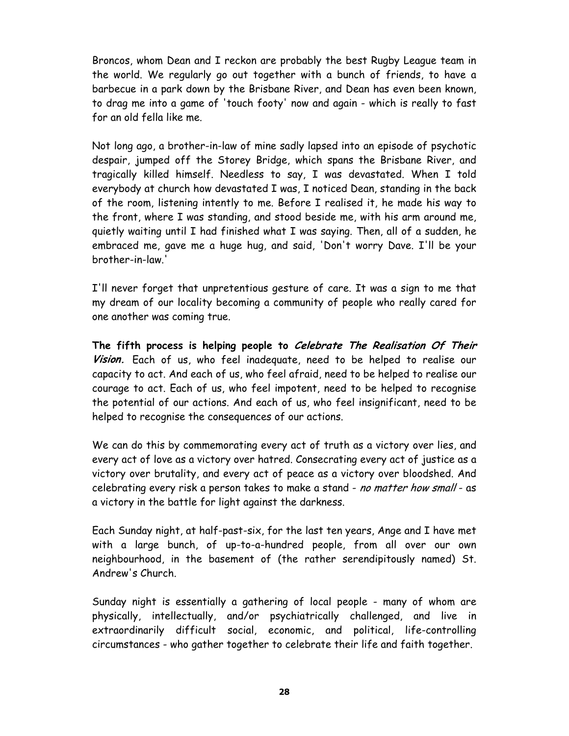Broncos, whom Dean and I reckon are probably the best Rugby League team in the world. We regularly go out together with a bunch of friends, to have a barbecue in a park down by the Brisbane River, and Dean has even been known, to drag me into a game of 'touch footy' now and again - which is really to fast for an old fella like me.

Not long ago, a brother-in-law of mine sadly lapsed into an episode of psychotic despair, jumped off the Storey Bridge, which spans the Brisbane River, and tragically killed himself. Needless to say, I was devastated. When I told everybody at church how devastated I was, I noticed Dean, standing in the back of the room, listening intently to me. Before I realised it, he made his way to the front, where I was standing, and stood beside me, with his arm around me, quietly waiting until I had finished what I was saying. Then, all of a sudden, he embraced me, gave me a huge hug, and said, 'Don't worry Dave. I'll be your brother-in-law.'

I'll never forget that unpretentious gesture of care. It was a sign to me that my dream of our locality becoming a community of people who really cared for one another was coming true.

**The fifth process is helping people to Celebrate The Realisation Of Their Vision.** Each of us, who feel inadequate, need to be helped to realise our capacity to act. And each of us, who feel afraid, need to be helped to realise our courage to act. Each of us, who feel impotent, need to be helped to recognise the potential of our actions. And each of us, who feel insignificant, need to be helped to recognise the consequences of our actions.

We can do this by commemorating every act of truth as a victory over lies, and every act of love as a victory over hatred. Consecrating every act of justice as a victory over brutality, and every act of peace as a victory over bloodshed. And celebrating every risk a person takes to make a stand - no matter how small - as a victory in the battle for light against the darkness.

Each Sunday night, at half-past-six, for the last ten years, Ange and I have met with a large bunch, of up-to-a-hundred people, from all over our own neighbourhood, in the basement of (the rather serendipitously named) St. Andrew's Church.

Sunday night is essentially a gathering of local people - many of whom are physically, intellectually, and/or psychiatrically challenged, and live in extraordinarily difficult social, economic, and political, life-controlling circumstances - who gather together to celebrate their life and faith together.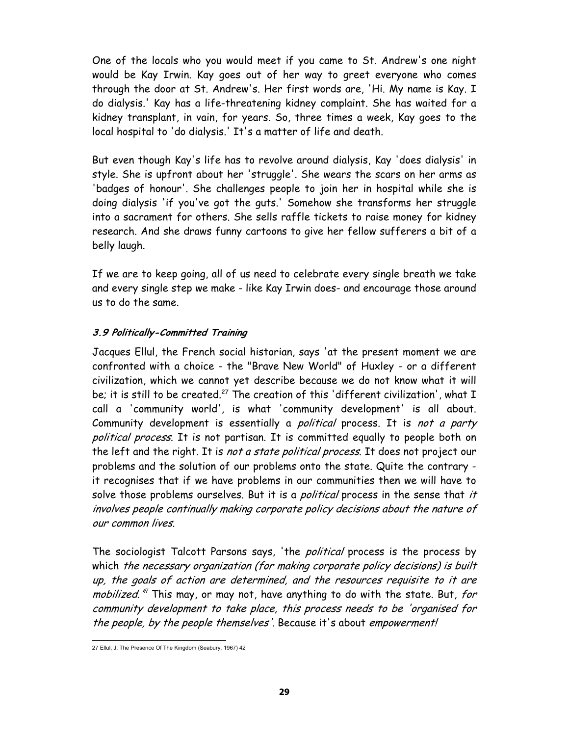One of the locals who you would meet if you came to St. Andrew's one night would be Kay Irwin. Kay goes out of her way to greet everyone who comes through the door at St. Andrew's. Her first words are, 'Hi. My name is Kay. I do dialysis.' Kay has a life-threatening kidney complaint. She has waited for a kidney transplant, in vain, for years. So, three times a week, Kay goes to the local hospital to 'do dialysis.' It's a matter of life and death.

But even though Kay's life has to revolve around dialysis, Kay 'does dialysis' in style. She is upfront about her 'struggle'. She wears the scars on her arms as 'badges of honour'. She challenges people to join her in hospital while she is doing dialysis 'if you've got the guts.' Somehow she transforms her struggle into a sacrament for others. She sells raffle tickets to raise money for kidney research. And she draws funny cartoons to give her fellow sufferers a bit of a belly laugh.

If we are to keep going, all of us need to celebrate every single breath we take and every single step we make - like Kay Irwin does- and encourage those around us to do the same.

#### **3.9 Politically-Committed Training**

Jacques Ellul, the French social historian, says 'at the present moment we are confronted with a choice - the "Brave New World" of Huxley - or a different civilization, which we cannot yet describe because we do not know what it will be; it is still to be created.<sup>27</sup> The creation of this 'different civilization', what  $I$ call a 'community world', is what 'community development' is all about. Community development is essentially a *political* process. It is not a party political process. It is not partisan. It is committed equally to people both on the left and the right. It is not a state political process. It does not project our problems and the solution of our problems onto the state. Quite the contrary it recognises that if we have problems in our communities then we will have to solve those problems ourselves. But it is a *political* process in the sense that *it* involves people continually making corporate policy decisions about the nature of our common lives.

The sociologist Talcott Parsons says, 'the *political* process is the process by which the necessary organization (for making corporate policy decisions) is built up, the goals of action are determined, and the resources requisite to it are mobilized.<sup>"</sup> This may, or may not, have anything to do with the state. But, for community development to take place, this process needs to be 'organised for the people, by the people themselves'. Because it's about empowerment!

 27 Ellul, J. The Presence Of The Kingdom (Seabury, 1967) 42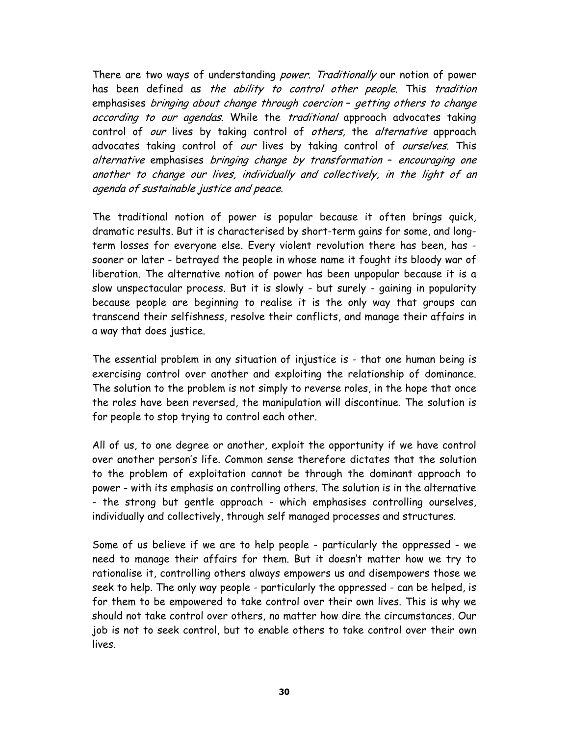There are two ways of understanding power. Traditionally our notion of power has been defined as the ability to control other people. This tradition emphasises bringing about change through coercion – getting others to change according to our agendas. While the traditional approach advocates taking control of our lives by taking control of others, the alternative approach advocates taking control of our lives by taking control of ourselves. This alternative emphasises bringing change by transformation – encouraging one another to change our lives, individually and collectively, in the light of an agenda of sustainable justice and peace.

The traditional notion of power is popular because it often brings quick, dramatic results. But it is characterised by short-term gains for some, and longterm losses for everyone else. Every violent revolution there has been, has sooner or later - betrayed the people in whose name it fought its bloody war of liberation. The alternative notion of power has been unpopular because it is a slow unspectacular process. But it is slowly - but surely - gaining in popularity because people are beginning to realise it is the only way that groups can transcend their selfishness, resolve their conflicts, and manage their affairs in a way that does justice.

The essential problem in any situation of injustice is - that one human being is exercising control over another and exploiting the relationship of dominance. The solution to the problem is not simply to reverse roles, in the hope that once the roles have been reversed, the manipulation will discontinue. The solution is for people to stop trying to control each other.

All of us, to one degree or another, exploit the opportunity if we have control over another person's life. Common sense therefore dictates that the solution to the problem of exploitation cannot be through the dominant approach to power - with its emphasis on controlling others. The solution is in the alternative - the strong but gentle approach - which emphasises controlling ourselves, individually and collectively, through self managed processes and structures.

Some of us believe if we are to help people - particularly the oppressed - we need to manage their affairs for them. But it doesn't matter how we try to rationalise it, controlling others always empowers us and disempowers those we seek to help. The only way people - particularly the oppressed - can be helped, is for them to be empowered to take control over their own lives. This is why we should not take control over others, no matter how dire the circumstances. Our job is not to seek control, but to enable others to take control over their own lives.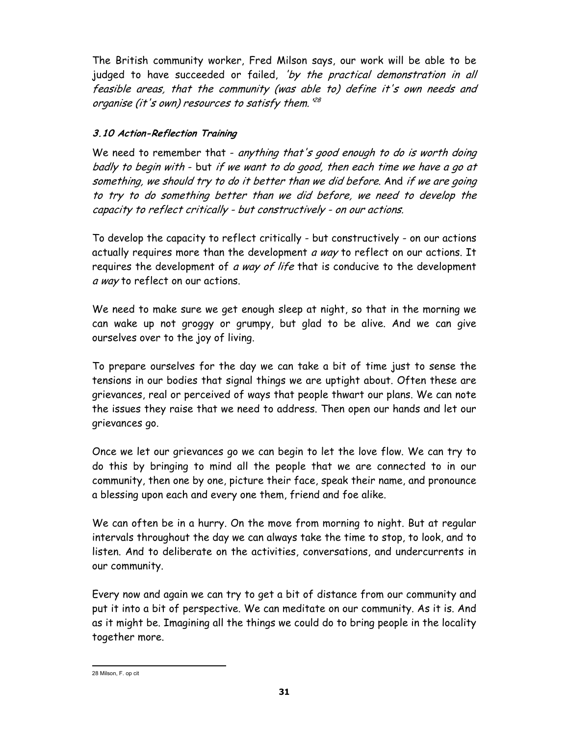The British community worker, Fred Milson says, our work will be able to be judged to have succeeded or failed, 'by the practical demonstration in all feasible areas, that the community (was able to) define it's own needs and organise (it's own) resources to satisfy them.<sup>'28</sup>

#### **3.10 Action-Reflection Training**

We need to remember that - anything that's good enough to do is worth doing badly to begin with - but if we want to do good, then each time we have a go at something, we should try to do it better than we did before. And if we are going to try to do something better than we did before, we need to develop the capacity to reflect critically - but constructively - on our actions.

To develop the capacity to reflect critically - but constructively - on our actions actually requires more than the development *a way* to reflect on our actions. It requires the development of *a way of life* that is conducive to the development a way to reflect on our actions.

We need to make sure we get enough sleep at night, so that in the morning we can wake up not groggy or grumpy, but glad to be alive. And we can give ourselves over to the joy of living.

To prepare ourselves for the day we can take a bit of time just to sense the tensions in our bodies that signal things we are uptight about. Often these are grievances, real or perceived of ways that people thwart our plans. We can note the issues they raise that we need to address. Then open our hands and let our grievances go.

Once we let our grievances go we can begin to let the love flow. We can try to do this by bringing to mind all the people that we are connected to in our community, then one by one, picture their face, speak their name, and pronounce a blessing upon each and every one them, friend and foe alike.

We can often be in a hurry. On the move from morning to night. But at regular intervals throughout the day we can always take the time to stop, to look, and to listen. And to deliberate on the activities, conversations, and undercurrents in our community.

Every now and again we can try to get a bit of distance from our community and put it into a bit of perspective. We can meditate on our community. As it is. And as it might be. Imagining all the things we could do to bring people in the locality together more.

 28 Milson, F. op cit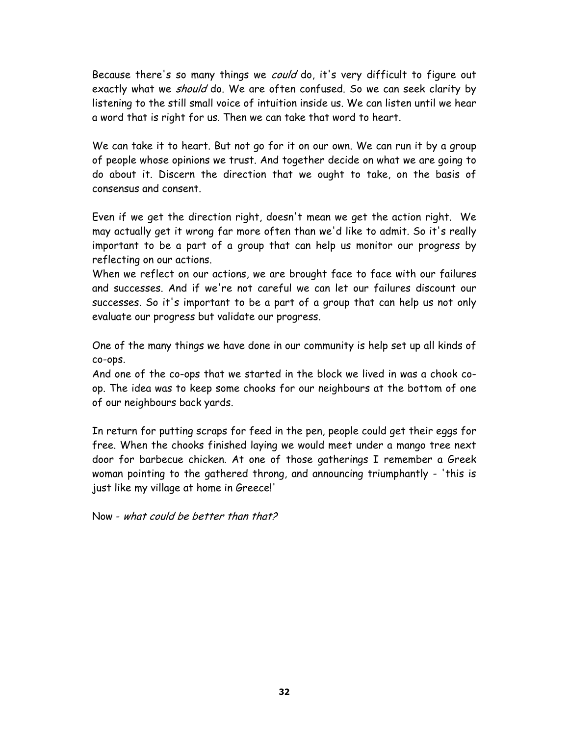Because there's so many things we could do, it's very difficult to figure out exactly what we *should* do. We are often confused. So we can seek clarity by listening to the still small voice of intuition inside us. We can listen until we hear a word that is right for us. Then we can take that word to heart.

We can take it to heart. But not go for it on our own. We can run it by a group of people whose opinions we trust. And together decide on what we are going to do about it. Discern the direction that we ought to take, on the basis of consensus and consent.

Even if we get the direction right, doesn't mean we get the action right. We may actually get it wrong far more often than we'd like to admit. So it's really important to be a part of a group that can help us monitor our progress by reflecting on our actions.

When we reflect on our actions, we are brought face to face with our failures and successes. And if we're not careful we can let our failures discount our successes. So it's important to be a part of a group that can help us not only evaluate our progress but validate our progress.

One of the many things we have done in our community is help set up all kinds of co-ops.

And one of the co-ops that we started in the block we lived in was a chook coop. The idea was to keep some chooks for our neighbours at the bottom of one of our neighbours back yards.

In return for putting scraps for feed in the pen, people could get their eggs for free. When the chooks finished laying we would meet under a mango tree next door for barbecue chicken. At one of those gatherings I remember a Greek woman pointing to the gathered throng, and announcing triumphantly - 'this is just like my village at home in Greece!'

Now - what could be better than that?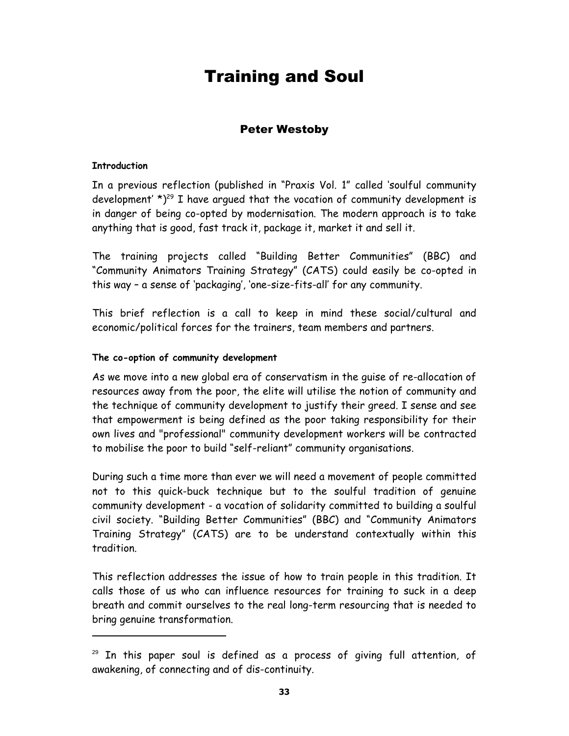## Training and Soul

## Peter Westoby

#### **Introduction**

-

In a previous reflection (published in "Praxis Vol. 1" called 'soulful community development'  $\star$ )<sup>29</sup> I have argued that the vocation of community development is in danger of being co-opted by modernisation. The modern approach is to take anything that is good, fast track it, package it, market it and sell it.

The training projects called "Building Better Communities" (BBC) and "Community Animators Training Strategy" (CATS) could easily be co-opted in this way – a sense of 'packaging', 'one-size-fits-all' for any community.

This brief reflection is a call to keep in mind these social/cultural and economic/political forces for the trainers, team members and partners.

#### **The co-option of community development**

As we move into a new global era of conservatism in the guise of re-allocation of resources away from the poor, the elite will utilise the notion of community and the technique of community development to justify their greed. I sense and see that empowerment is being defined as the poor taking responsibility for their own lives and "professional" community development workers will be contracted to mobilise the poor to build "self-reliant" community organisations.

During such a time more than ever we will need a movement of people committed not to this quick-buck technique but to the soulful tradition of genuine community development - a vocation of solidarity committed to building a soulful civil society. "Building Better Communities" (BBC) and "Community Animators Training Strategy" (CATS) are to be understand contextually within this tradition.

This reflection addresses the issue of how to train people in this tradition. It calls those of us who can influence resources for training to suck in a deep breath and commit ourselves to the real long-term resourcing that is needed to bring genuine transformation.

 $29$  In this paper soul is defined as a process of giving full attention, of awakening, of connecting and of dis-continuity.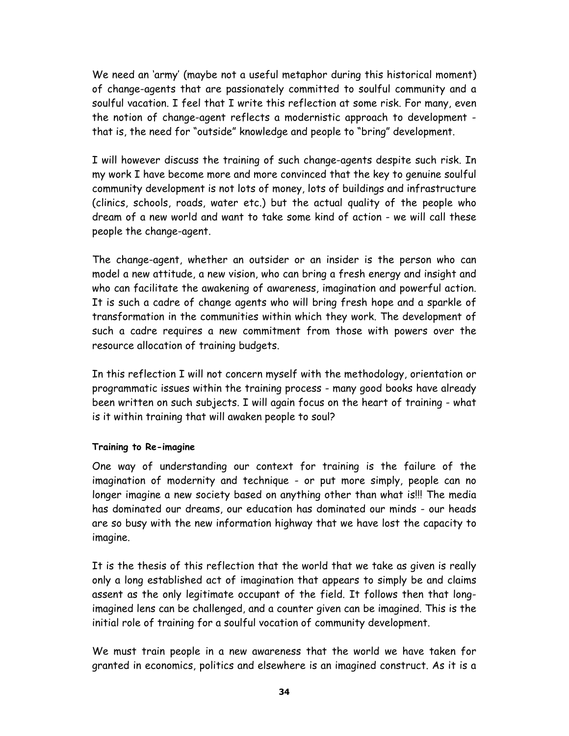We need an 'army' (maybe not a useful metaphor during this historical moment) of change-agents that are passionately committed to soulful community and a soulful vacation. I feel that I write this reflection at some risk. For many, even the notion of change-agent reflects a modernistic approach to development that is, the need for "outside" knowledge and people to "bring" development.

I will however discuss the training of such change-agents despite such risk. In my work I have become more and more convinced that the key to genuine soulful community development is not lots of money, lots of buildings and infrastructure (clinics, schools, roads, water etc.) but the actual quality of the people who dream of a new world and want to take some kind of action - we will call these people the change-agent.

The change-agent, whether an outsider or an insider is the person who can model a new attitude, a new vision, who can bring a fresh energy and insight and who can facilitate the awakening of awareness, imagination and powerful action. It is such a cadre of change agents who will bring fresh hope and a sparkle of transformation in the communities within which they work. The development of such a cadre requires a new commitment from those with powers over the resource allocation of training budgets.

In this reflection I will not concern myself with the methodology, orientation or programmatic issues within the training process - many good books have already been written on such subjects. I will again focus on the heart of training - what is it within training that will awaken people to soul?

#### **Training to Re-imagine**

One way of understanding our context for training is the failure of the imagination of modernity and technique - or put more simply, people can no longer imagine a new society based on anything other than what is!!! The media has dominated our dreams, our education has dominated our minds - our heads are so busy with the new information highway that we have lost the capacity to imagine.

It is the thesis of this reflection that the world that we take as given is really only a long established act of imagination that appears to simply be and claims assent as the only legitimate occupant of the field. It follows then that longimagined lens can be challenged, and a counter given can be imagined. This is the initial role of training for a soulful vocation of community development.

We must train people in a new awareness that the world we have taken for granted in economics, politics and elsewhere is an imagined construct. As it is a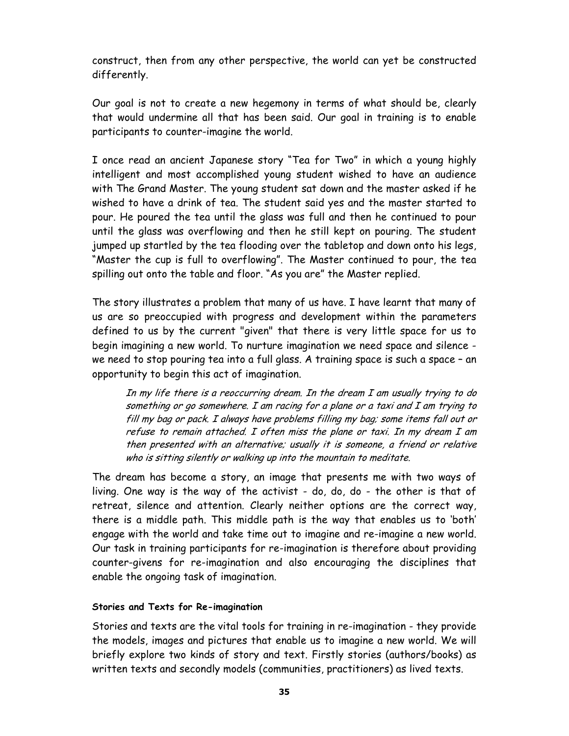construct, then from any other perspective, the world can yet be constructed differently.

Our goal is not to create a new hegemony in terms of what should be, clearly that would undermine all that has been said. Our goal in training is to enable participants to counter-imagine the world.

I once read an ancient Japanese story "Tea for Two" in which a young highly intelligent and most accomplished young student wished to have an audience with The Grand Master. The young student sat down and the master asked if he wished to have a drink of tea. The student said yes and the master started to pour. He poured the tea until the glass was full and then he continued to pour until the glass was overflowing and then he still kept on pouring. The student jumped up startled by the tea flooding over the tabletop and down onto his legs, "Master the cup is full to overflowing". The Master continued to pour, the tea spilling out onto the table and floor. "As you are" the Master replied.

The story illustrates a problem that many of us have. I have learnt that many of us are so preoccupied with progress and development within the parameters defined to us by the current "given" that there is very little space for us to begin imagining a new world. To nurture imagination we need space and silence we need to stop pouring tea into a full glass. A training space is such a space – an opportunity to begin this act of imagination.

In my life there is a reoccurring dream. In the dream I am usually trying to do something or go somewhere. I am racing for a plane or a taxi and I am trying to fill my bag or pack. I always have problems filling my bag; some items fall out or refuse to remain attached. I often miss the plane or taxi. In my dream I am then presented with an alternative; usually it is someone, a friend or relative who is sitting silently or walking up into the mountain to meditate.

The dream has become a story, an image that presents me with two ways of living. One way is the way of the activist - do, do, do - the other is that of retreat, silence and attention. Clearly neither options are the correct way, there is a middle path. This middle path is the way that enables us to 'both' engage with the world and take time out to imagine and re-imagine a new world. Our task in training participants for re-imagination is therefore about providing counter-givens for re-imagination and also encouraging the disciplines that enable the ongoing task of imagination.

#### **Stories and Texts for Re-imagination**

Stories and texts are the vital tools for training in re-imagination - they provide the models, images and pictures that enable us to imagine a new world. We will briefly explore two kinds of story and text. Firstly stories (authors/books) as written texts and secondly models (communities, practitioners) as lived texts.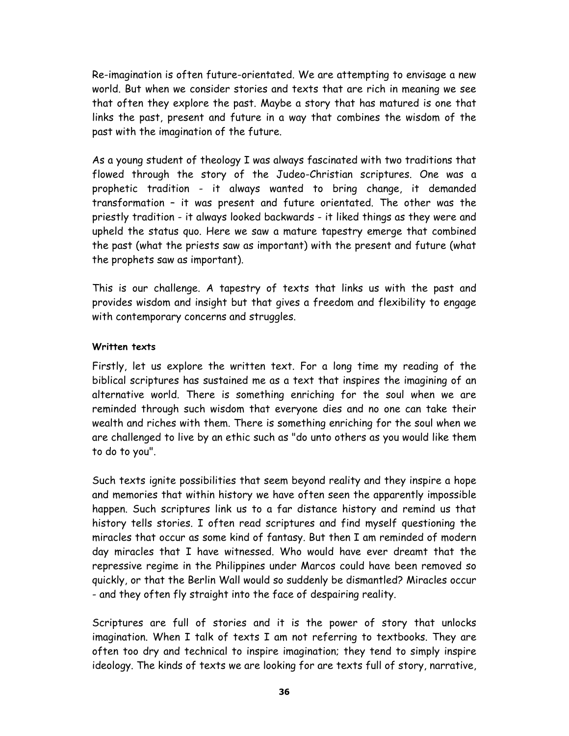Re-imagination is often future-orientated. We are attempting to envisage a new world. But when we consider stories and texts that are rich in meaning we see that often they explore the past. Maybe a story that has matured is one that links the past, present and future in a way that combines the wisdom of the past with the imagination of the future.

As a young student of theology I was always fascinated with two traditions that flowed through the story of the Judeo-Christian scriptures. One was a prophetic tradition - it always wanted to bring change, it demanded transformation – it was present and future orientated. The other was the priestly tradition - it always looked backwards - it liked things as they were and upheld the status quo. Here we saw a mature tapestry emerge that combined the past (what the priests saw as important) with the present and future (what the prophets saw as important).

This is our challenge. A tapestry of texts that links us with the past and provides wisdom and insight but that gives a freedom and flexibility to engage with contemporary concerns and struggles.

#### **Written texts**

Firstly, let us explore the written text. For a long time my reading of the biblical scriptures has sustained me as a text that inspires the imagining of an alternative world. There is something enriching for the soul when we are reminded through such wisdom that everyone dies and no one can take their wealth and riches with them. There is something enriching for the soul when we are challenged to live by an ethic such as "do unto others as you would like them to do to you".

Such texts ignite possibilities that seem beyond reality and they inspire a hope and memories that within history we have often seen the apparently impossible happen. Such scriptures link us to a far distance history and remind us that history tells stories. I often read scriptures and find myself questioning the miracles that occur as some kind of fantasy. But then I am reminded of modern day miracles that I have witnessed. Who would have ever dreamt that the repressive regime in the Philippines under Marcos could have been removed so quickly, or that the Berlin Wall would so suddenly be dismantled? Miracles occur - and they often fly straight into the face of despairing reality.

Scriptures are full of stories and it is the power of story that unlocks imagination. When I talk of texts I am not referring to textbooks. They are often too dry and technical to inspire imagination; they tend to simply inspire ideology. The kinds of texts we are looking for are texts full of story, narrative,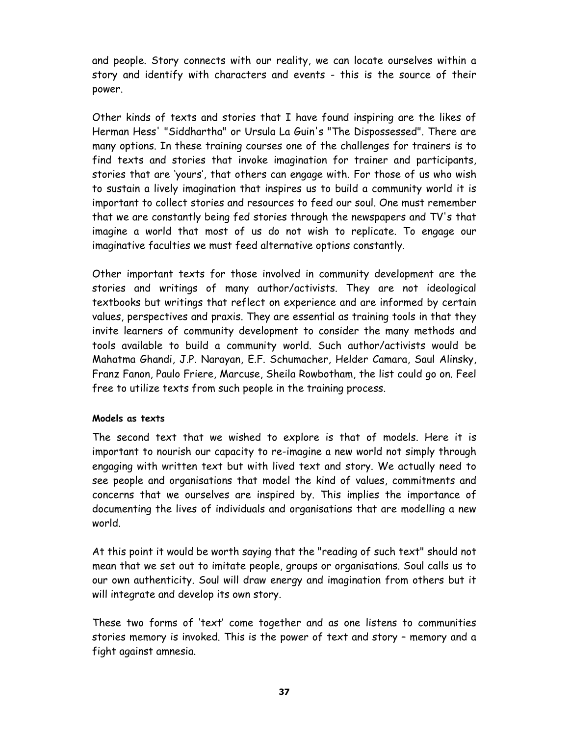and people. Story connects with our reality, we can locate ourselves within a story and identify with characters and events - this is the source of their power.

Other kinds of texts and stories that I have found inspiring are the likes of Herman Hess' "Siddhartha" or Ursula La Guin's "The Dispossessed". There are many options. In these training courses one of the challenges for trainers is to find texts and stories that invoke imagination for trainer and participants, stories that are 'yours', that others can engage with. For those of us who wish to sustain a lively imagination that inspires us to build a community world it is important to collect stories and resources to feed our soul. One must remember that we are constantly being fed stories through the newspapers and TV's that imagine a world that most of us do not wish to replicate. To engage our imaginative faculties we must feed alternative options constantly.

Other important texts for those involved in community development are the stories and writings of many author/activists. They are not ideological textbooks but writings that reflect on experience and are informed by certain values, perspectives and praxis. They are essential as training tools in that they invite learners of community development to consider the many methods and tools available to build a community world. Such author/activists would be Mahatma Ghandi, J.P. Narayan, E.F. Schumacher, Helder Camara, Saul Alinsky, Franz Fanon, Paulo Friere, Marcuse, Sheila Rowbotham, the list could go on. Feel free to utilize texts from such people in the training process.

#### **Models as texts**

The second text that we wished to explore is that of models. Here it is important to nourish our capacity to re-imagine a new world not simply through engaging with written text but with lived text and story. We actually need to see people and organisations that model the kind of values, commitments and concerns that we ourselves are inspired by. This implies the importance of documenting the lives of individuals and organisations that are modelling a new world.

At this point it would be worth saying that the "reading of such text" should not mean that we set out to imitate people, groups or organisations. Soul calls us to our own authenticity. Soul will draw energy and imagination from others but it will integrate and develop its own story.

These two forms of 'text' come together and as one listens to communities stories memory is invoked. This is the power of text and story – memory and a fight against amnesia.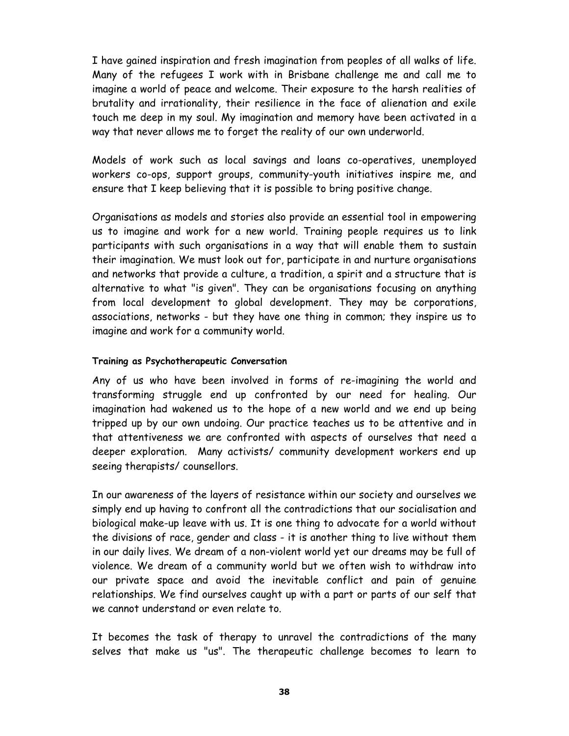I have gained inspiration and fresh imagination from peoples of all walks of life. Many of the refugees I work with in Brisbane challenge me and call me to imagine a world of peace and welcome. Their exposure to the harsh realities of brutality and irrationality, their resilience in the face of alienation and exile touch me deep in my soul. My imagination and memory have been activated in a way that never allows me to forget the reality of our own underworld.

Models of work such as local savings and loans co-operatives, unemployed workers co-ops, support groups, community-youth initiatives inspire me, and ensure that I keep believing that it is possible to bring positive change.

Organisations as models and stories also provide an essential tool in empowering us to imagine and work for a new world. Training people requires us to link participants with such organisations in a way that will enable them to sustain their imagination. We must look out for, participate in and nurture organisations and networks that provide a culture, a tradition, a spirit and a structure that is alternative to what "is given". They can be organisations focusing on anything from local development to global development. They may be corporations, associations, networks - but they have one thing in common; they inspire us to imagine and work for a community world.

#### **Training as Psychotherapeutic Conversation**

Any of us who have been involved in forms of re-imagining the world and transforming struggle end up confronted by our need for healing. Our imagination had wakened us to the hope of a new world and we end up being tripped up by our own undoing. Our practice teaches us to be attentive and in that attentiveness we are confronted with aspects of ourselves that need a deeper exploration. Many activists/ community development workers end up seeing therapists/ counsellors.

In our awareness of the layers of resistance within our society and ourselves we simply end up having to confront all the contradictions that our socialisation and biological make-up leave with us. It is one thing to advocate for a world without the divisions of race, gender and class - it is another thing to live without them in our daily lives. We dream of a non-violent world yet our dreams may be full of violence. We dream of a community world but we often wish to withdraw into our private space and avoid the inevitable conflict and pain of genuine relationships. We find ourselves caught up with a part or parts of our self that we cannot understand or even relate to.

It becomes the task of therapy to unravel the contradictions of the many selves that make us "us". The therapeutic challenge becomes to learn to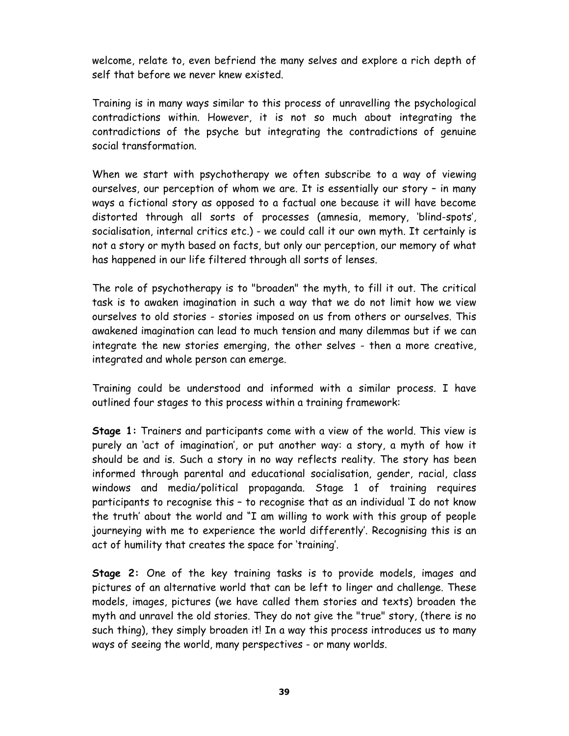welcome, relate to, even befriend the many selves and explore a rich depth of self that before we never knew existed.

Training is in many ways similar to this process of unravelling the psychological contradictions within. However, it is not so much about integrating the contradictions of the psyche but integrating the contradictions of genuine social transformation.

When we start with psychotherapy we often subscribe to a way of viewing ourselves, our perception of whom we are. It is essentially our story – in many ways a fictional story as opposed to a factual one because it will have become distorted through all sorts of processes (amnesia, memory, 'blind-spots', socialisation, internal critics etc.) - we could call it our own myth. It certainly is not a story or myth based on facts, but only our perception, our memory of what has happened in our life filtered through all sorts of lenses.

The role of psychotherapy is to "broaden" the myth, to fill it out. The critical task is to awaken imagination in such a way that we do not limit how we view ourselves to old stories - stories imposed on us from others or ourselves. This awakened imagination can lead to much tension and many dilemmas but if we can integrate the new stories emerging, the other selves - then a more creative, integrated and whole person can emerge.

Training could be understood and informed with a similar process. I have outlined four stages to this process within a training framework:

**Stage 1:** Trainers and participants come with a view of the world. This view is purely an 'act of imagination', or put another way: a story, a myth of how it should be and is. Such a story in no way reflects reality. The story has been informed through parental and educational socialisation, gender, racial, class windows and media/political propaganda. Stage 1 of training requires participants to recognise this – to recognise that as an individual 'I do not know the truth' about the world and "I am willing to work with this group of people journeying with me to experience the world differently'. Recognising this is an act of humility that creates the space for 'training'.

**Stage 2:** One of the key training tasks is to provide models, images and pictures of an alternative world that can be left to linger and challenge. These models, images, pictures (we have called them stories and texts) broaden the myth and unravel the old stories. They do not give the "true" story, (there is no such thing), they simply broaden it! In a way this process introduces us to many ways of seeing the world, many perspectives - or many worlds.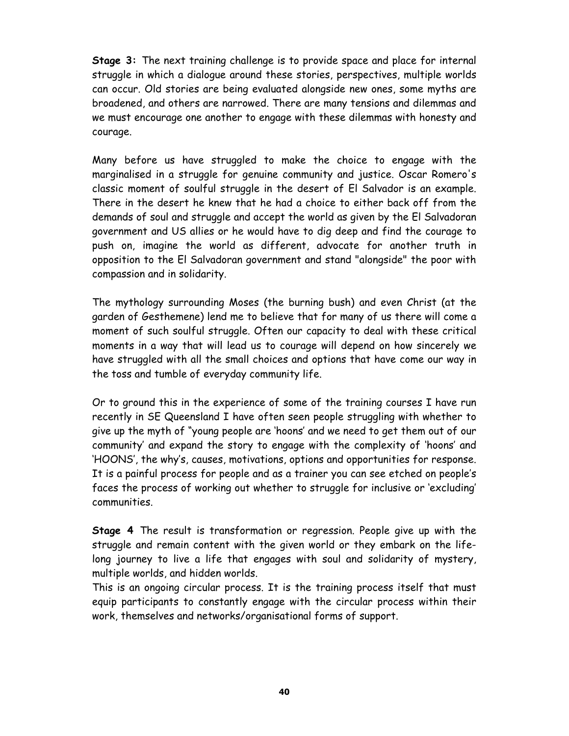**Stage 3:** The next training challenge is to provide space and place for internal struggle in which a dialogue around these stories, perspectives, multiple worlds can occur. Old stories are being evaluated alongside new ones, some myths are broadened, and others are narrowed. There are many tensions and dilemmas and we must encourage one another to engage with these dilemmas with honesty and courage.

Many before us have struggled to make the choice to engage with the marginalised in a struggle for genuine community and justice. Oscar Romero's classic moment of soulful struggle in the desert of El Salvador is an example. There in the desert he knew that he had a choice to either back off from the demands of soul and struggle and accept the world as given by the El Salvadoran government and US allies or he would have to dig deep and find the courage to push on, imagine the world as different, advocate for another truth in opposition to the El Salvadoran government and stand "alongside" the poor with compassion and in solidarity.

The mythology surrounding Moses (the burning bush) and even Christ (at the garden of Gesthemene) lend me to believe that for many of us there will come a moment of such soulful struggle. Often our capacity to deal with these critical moments in a way that will lead us to courage will depend on how sincerely we have struggled with all the small choices and options that have come our way in the toss and tumble of everyday community life.

Or to ground this in the experience of some of the training courses I have run recently in SE Queensland I have often seen people struggling with whether to give up the myth of "young people are 'hoons' and we need to get them out of our community' and expand the story to engage with the complexity of 'hoons' and 'HOONS', the why's, causes, motivations, options and opportunities for response. It is a painful process for people and as a trainer you can see etched on people's faces the process of working out whether to struggle for inclusive or 'excluding' communities.

**Stage 4** The result is transformation or regression. People give up with the struggle and remain content with the given world or they embark on the lifelong journey to live a life that engages with soul and solidarity of mystery, multiple worlds, and hidden worlds.

This is an ongoing circular process. It is the training process itself that must equip participants to constantly engage with the circular process within their work, themselves and networks/organisational forms of support.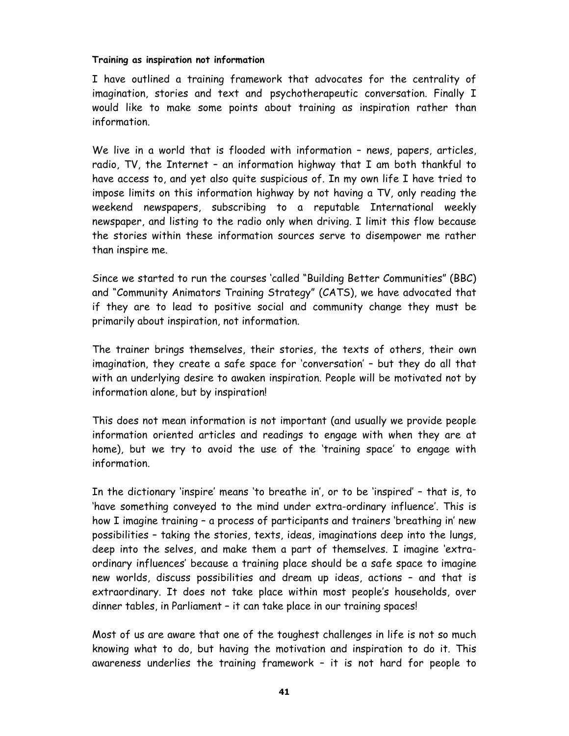#### **Training as inspiration not information**

I have outlined a training framework that advocates for the centrality of imagination, stories and text and psychotherapeutic conversation. Finally I would like to make some points about training as inspiration rather than information.

We live in a world that is flooded with information - news, papers, articles, radio, TV, the Internet – an information highway that I am both thankful to have access to, and yet also quite suspicious of. In my own life I have tried to impose limits on this information highway by not having a TV, only reading the weekend newspapers, subscribing to a reputable International weekly newspaper, and listing to the radio only when driving. I limit this flow because the stories within these information sources serve to disempower me rather than inspire me.

Since we started to run the courses 'called "Building Better Communities" (BBC) and "Community Animators Training Strategy" (CATS), we have advocated that if they are to lead to positive social and community change they must be primarily about inspiration, not information.

The trainer brings themselves, their stories, the texts of others, their own imagination, they create a safe space for 'conversation' – but they do all that with an underlying desire to awaken inspiration. People will be motivated not by information alone, but by inspiration!

This does not mean information is not important (and usually we provide people information oriented articles and readings to engage with when they are at home), but we try to avoid the use of the 'training space' to engage with information.

In the dictionary 'inspire' means 'to breathe in', or to be 'inspired' – that is, to 'have something conveyed to the mind under extra-ordinary influence'. This is how I imagine training – a process of participants and trainers 'breathing in' new possibilities – taking the stories, texts, ideas, imaginations deep into the lungs, deep into the selves, and make them a part of themselves. I imagine 'extraordinary influences' because a training place should be a safe space to imagine new worlds, discuss possibilities and dream up ideas, actions – and that is extraordinary. It does not take place within most people's households, over dinner tables, in Parliament – it can take place in our training spaces!

Most of us are aware that one of the toughest challenges in life is not so much knowing what to do, but having the motivation and inspiration to do it. This awareness underlies the training framework – it is not hard for people to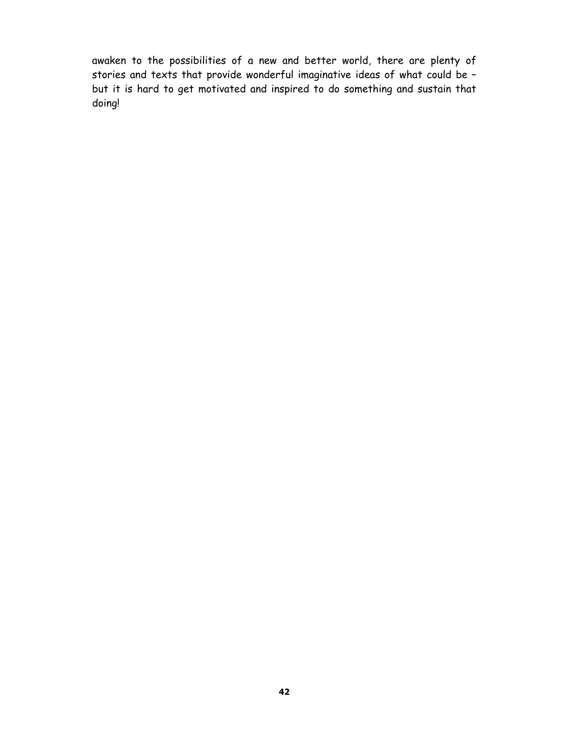awaken to the possibilities of a new and better world, there are plenty of stories and texts that provide wonderful imaginative ideas of what could be – but it is hard to get motivated and inspired to do something and sustain that doing!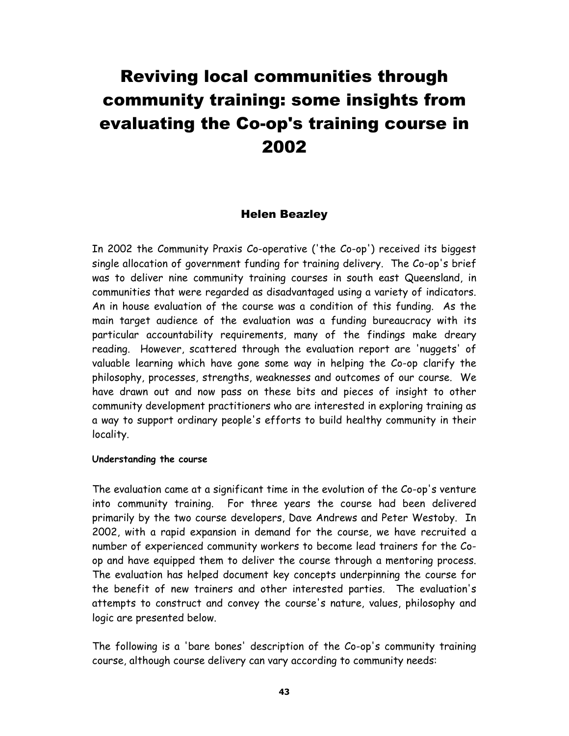# Reviving local communities through community training: some insights from evaluating the Co-op's training course in 2002

#### Helen Beazley

In 2002 the Community Praxis Co-operative ('the Co-op') received its biggest single allocation of government funding for training delivery. The Co-op's brief was to deliver nine community training courses in south east Queensland, in communities that were regarded as disadvantaged using a variety of indicators. An in house evaluation of the course was a condition of this funding. As the main target audience of the evaluation was a funding bureaucracy with its particular accountability requirements, many of the findings make dreary reading. However, scattered through the evaluation report are 'nuggets' of valuable learning which have gone some way in helping the Co-op clarify the philosophy, processes, strengths, weaknesses and outcomes of our course. We have drawn out and now pass on these bits and pieces of insight to other community development practitioners who are interested in exploring training as a way to support ordinary people's efforts to build healthy community in their locality.

#### **Understanding the course**

The evaluation came at a significant time in the evolution of the Co-op's venture into community training. For three years the course had been delivered primarily by the two course developers, Dave Andrews and Peter Westoby. In 2002, with a rapid expansion in demand for the course, we have recruited a number of experienced community workers to become lead trainers for the Coop and have equipped them to deliver the course through a mentoring process. The evaluation has helped document key concepts underpinning the course for the benefit of new trainers and other interested parties. The evaluation's attempts to construct and convey the course's nature, values, philosophy and logic are presented below.

The following is a 'bare bones' description of the Co-op's community training course, although course delivery can vary according to community needs: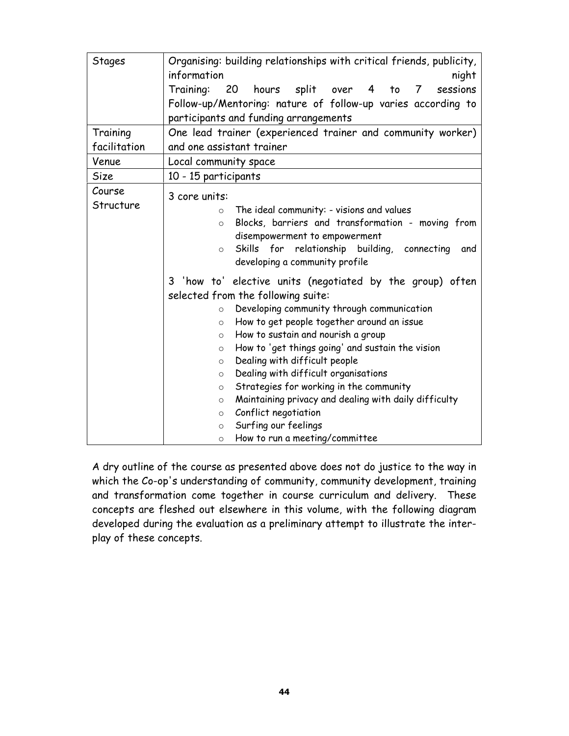| Stages<br>Training  | Organising: building relationships with critical friends, publicity,<br>information<br>night<br>sessions<br>20 hours split over 4<br>Training:<br>to<br>7<br>Follow-up/Mentoring: nature of follow-up varies according to<br>participants and funding arrangements<br>One lead trainer (experienced trainer and community worker) |  |  |
|---------------------|-----------------------------------------------------------------------------------------------------------------------------------------------------------------------------------------------------------------------------------------------------------------------------------------------------------------------------------|--|--|
| facilitation        | and one assistant trainer                                                                                                                                                                                                                                                                                                         |  |  |
| Venue               | Local community space                                                                                                                                                                                                                                                                                                             |  |  |
| Size                | 10 - 15 participants                                                                                                                                                                                                                                                                                                              |  |  |
| Course<br>Structure | 3 core units:<br>The ideal community: - visions and values<br>$\circ$<br>Blocks, barriers and transformation - moving from<br>$\Omega$<br>disempowerment to empowerment<br>Skills for relationship building, connecting<br>and<br>$\circ$<br>developing a community profile                                                       |  |  |
|                     | 3 'how to' elective units (negotiated by the group) often                                                                                                                                                                                                                                                                         |  |  |
|                     | selected from the following suite:                                                                                                                                                                                                                                                                                                |  |  |
|                     | Developing community through communication<br>$\circ$                                                                                                                                                                                                                                                                             |  |  |
|                     | How to get people together around an issue<br>$\circ$                                                                                                                                                                                                                                                                             |  |  |
|                     | How to sustain and nourish a group<br>O                                                                                                                                                                                                                                                                                           |  |  |
|                     | How to 'get things going' and sustain the vision<br>$\circ$<br>Dealing with difficult people                                                                                                                                                                                                                                      |  |  |
|                     | $\circ$<br>Dealing with difficult organisations<br>$\circ$                                                                                                                                                                                                                                                                        |  |  |
|                     | Strategies for working in the community<br>$\circ$                                                                                                                                                                                                                                                                                |  |  |
|                     | Maintaining privacy and dealing with daily difficulty<br>$\circ$                                                                                                                                                                                                                                                                  |  |  |
|                     | Conflict negotiation<br>$\circ$                                                                                                                                                                                                                                                                                                   |  |  |
|                     | Surfing our feelings<br>$\circ$                                                                                                                                                                                                                                                                                                   |  |  |
|                     | How to run a meeting/committee<br>O                                                                                                                                                                                                                                                                                               |  |  |

A dry outline of the course as presented above does not do justice to the way in which the Co-op's understanding of community, community development, training and transformation come together in course curriculum and delivery. These concepts are fleshed out elsewhere in this volume, with the following diagram developed during the evaluation as a preliminary attempt to illustrate the interplay of these concepts.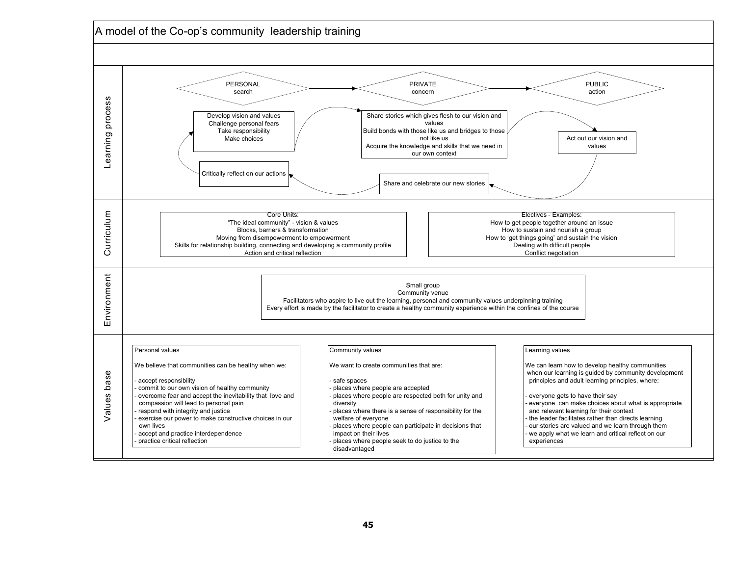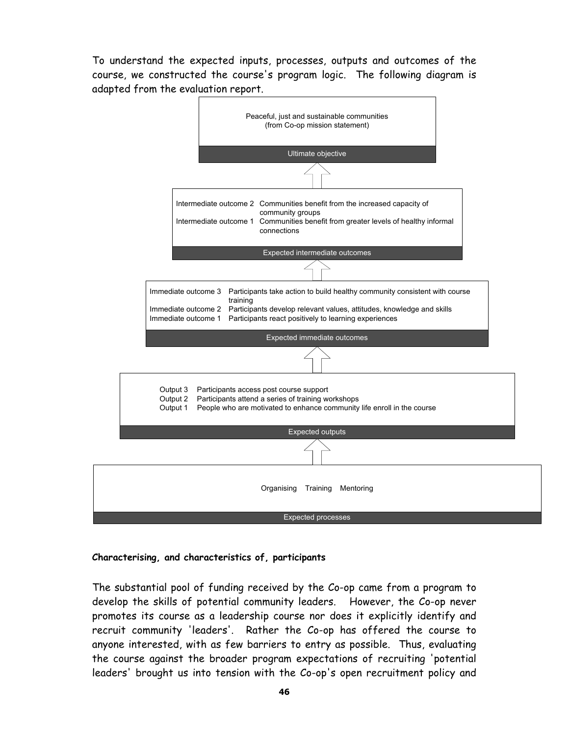To understand the expected inputs, processes, outputs and outcomes of the course, we constructed the course's program logic. The following diagram is adapted from the evaluation report.



#### **Characterising, and characteristics of, participants**

The substantial pool of funding received by the Co-op came from a program to develop the skills of potential community leaders. However, the Co-op never promotes its course as a leadership course nor does it explicitly identify and recruit community 'leaders'. Rather the Co-op has offered the course to anyone interested, with as few barriers to entry as possible. Thus, evaluating the course against the broader program expectations of recruiting 'potential leaders' brought us into tension with the Co-op's open recruitment policy and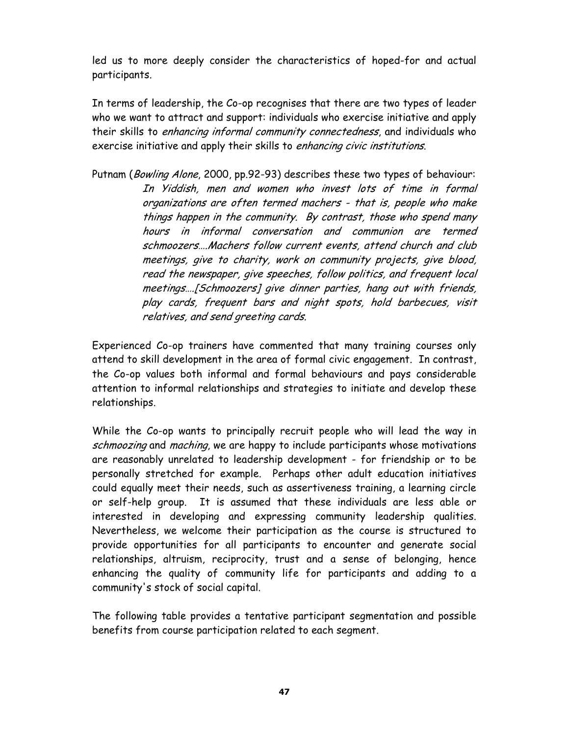led us to more deeply consider the characteristics of hoped-for and actual participants.

In terms of leadership, the Co-op recognises that there are two types of leader who we want to attract and support: individuals who exercise initiative and apply their skills to enhancing informal community connectedness, and individuals who exercise initiative and apply their skills to enhancing civic institutions.

Putnam (Bowling Alone, 2000, pp.92-93) describes these two types of behaviour: In Yiddish, men and women who invest lots of time in formal organizations are often termed machers - that is, people who make things happen in the community. By contrast, those who spend many hours in informal conversation and communion are termed schmoozers….Machers follow current events, attend church and club meetings, give to charity, work on community projects, give blood, read the newspaper, give speeches, follow politics, and frequent local meetings….[Schmoozers] give dinner parties, hang out with friends, play cards, frequent bars and night spots, hold barbecues, visit relatives, and send greeting cards.

Experienced Co-op trainers have commented that many training courses only attend to skill development in the area of formal civic engagement. In contrast, the Co-op values both informal and formal behaviours and pays considerable attention to informal relationships and strategies to initiate and develop these relationships.

While the Co-op wants to principally recruit people who will lead the way in schmoozing and maching, we are happy to include participants whose motivations are reasonably unrelated to leadership development - for friendship or to be personally stretched for example. Perhaps other adult education initiatives could equally meet their needs, such as assertiveness training, a learning circle or self-help group. It is assumed that these individuals are less able or interested in developing and expressing community leadership qualities. Nevertheless, we welcome their participation as the course is structured to provide opportunities for all participants to encounter and generate social relationships, altruism, reciprocity, trust and a sense of belonging, hence enhancing the quality of community life for participants and adding to a community's stock of social capital.

The following table provides a tentative participant segmentation and possible benefits from course participation related to each segment.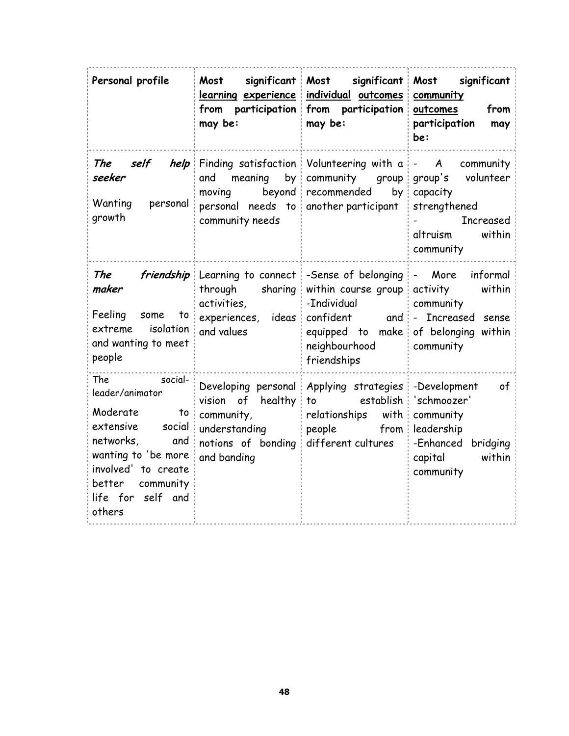| Personal profile                                                                                                                                                                                      | significant   Most<br>Most<br>learning experience<br>from<br>may be:                                                                               | significant<br>individual outcomes<br>participation from participation<br>may be:                     | significant<br>Most<br>community<br>outcomes<br>from<br>participation<br>may<br>be:                                                              |
|-------------------------------------------------------------------------------------------------------------------------------------------------------------------------------------------------------|----------------------------------------------------------------------------------------------------------------------------------------------------|-------------------------------------------------------------------------------------------------------|--------------------------------------------------------------------------------------------------------------------------------------------------|
| The<br>self<br>seeker<br>Wanting<br>personal<br>growth                                                                                                                                                | <i>help</i> Finding satisfaction Volunteering with a $-$ A<br>meaning<br>and<br>moving<br>personal needs to another participant<br>community needs | by community<br>group<br>beyond recommended<br>by                                                     | community<br>group's<br>volunteer<br>capacity<br>strengthened<br><b>Increased</b><br>within<br>altruism<br>community                             |
| The<br>maker<br>Feeling<br>some<br>to<br>isolation<br>extreme<br>and wanting to meet<br>people                                                                                                        | friendship Learning to connect -Sense of belonging<br>through<br>activities,<br>experiences, ideas confident<br>and values                         | sharing within course group<br>-Individual<br>and<br>equipped to make<br>neighbourhood<br>friendships | informal<br>More<br>$\blacksquare$<br>activity<br>within<br>community<br>- Increased sense<br>of belonging within<br>community                   |
| The<br>social-<br>leader/animator<br>Moderate<br>to<br>extensive<br>social<br>networks,<br>and<br>wanting to 'be more<br>involved' to create<br>community<br>better<br>self and<br>life for<br>others | vision of healthy<br>community,<br>understanding<br>notions of bonding different cultures<br>and banding                                           | Developing personal Applying strategies<br>to<br>relationships<br>people<br>from                      | -Development<br>of<br>establish schmoozer'<br>with $\frac{1}{2}$ community<br>leadership<br>-Enhanced bridging<br>capital<br>within<br>community |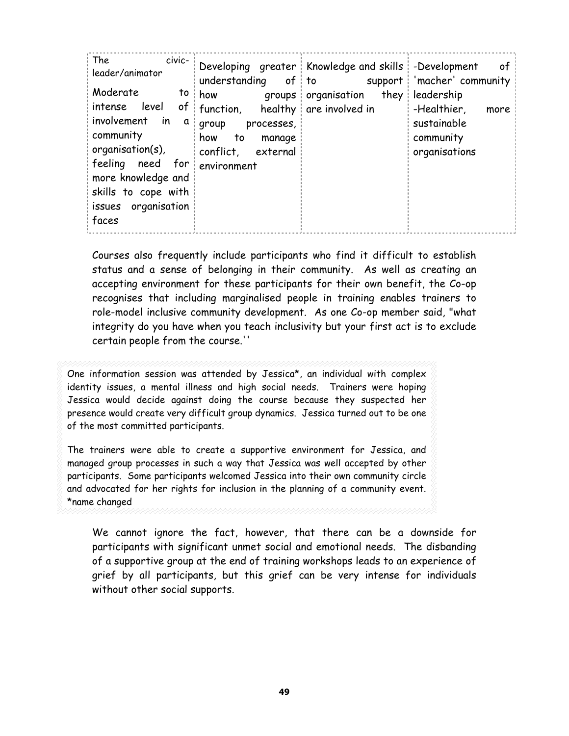| civic-<br>The<br>leader/animator<br>Moderate<br>involvement<br>$\overline{\mathsf{in}}$<br>αi<br>community<br>organisation(s),<br>feeling need for<br>more knowledge and<br>skills to cope with<br>issues organisation<br>faces | understanding<br>to   how<br>intense level of function, healthy are involved in<br>processes,<br>group<br>to<br>how<br>manage<br>$ $ conflict,<br>external<br>environment | Developing greater Knowledge and skills -Development<br>of to support macher community<br>groups organisation | оf<br>they leadership<br>-Healthier,<br>more<br>sustainable<br>community<br>organisations |
|---------------------------------------------------------------------------------------------------------------------------------------------------------------------------------------------------------------------------------|---------------------------------------------------------------------------------------------------------------------------------------------------------------------------|---------------------------------------------------------------------------------------------------------------|-------------------------------------------------------------------------------------------|
|---------------------------------------------------------------------------------------------------------------------------------------------------------------------------------------------------------------------------------|---------------------------------------------------------------------------------------------------------------------------------------------------------------------------|---------------------------------------------------------------------------------------------------------------|-------------------------------------------------------------------------------------------|

Courses also frequently include participants who find it difficult to establish status and a sense of belonging in their community. As well as creating an accepting environment for these participants for their own benefit, the Co-op recognises that including marginalised people in training enables trainers to role-model inclusive community development. As one Co-op member said, "what integrity do you have when you teach inclusivity but your first act is to exclude certain people from the course.''

One information session was attended by Jessica\*, an individual with complex identity issues, a mental illness and high social needs. Trainers were hoping Jessica would decide against doing the course because they suspected her presence would create very difficult group dynamics. Jessica turned out to be one of the most committed participants.

The trainers were able to create a supportive environment for Jessica, and managed group processes in such a way that Jessica was well accepted by other participants. Some participants welcomed Jessica into their own community circle and advocated for her rights for inclusion in the planning of a community event. \*name changed

We cannot ignore the fact, however, that there can be a downside for participants with significant unmet social and emotional needs. The disbanding of a supportive group at the end of training workshops leads to an experience of grief by all participants, but this grief can be very intense for individuals without other social supports.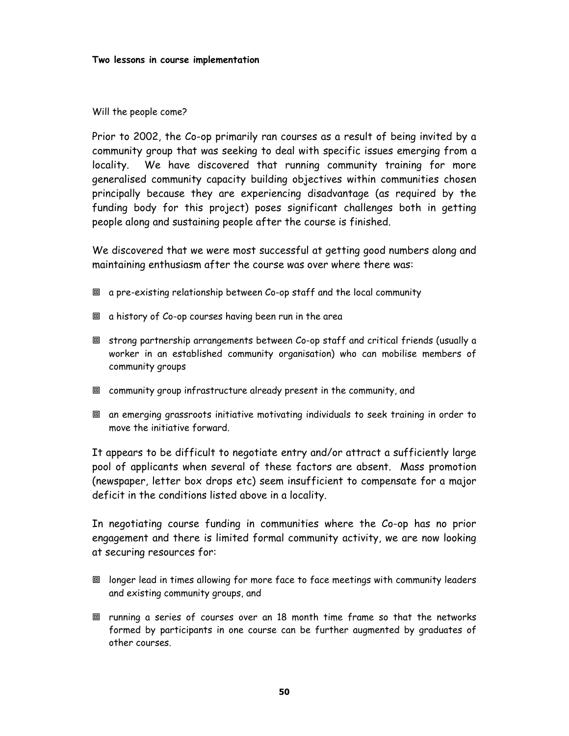**Two lessons in course implementation** 

Will the people come?

Prior to 2002, the Co-op primarily ran courses as a result of being invited by a community group that was seeking to deal with specific issues emerging from a locality. We have discovered that running community training for more generalised community capacity building objectives within communities chosen principally because they are experiencing disadvantage (as required by the funding body for this project) poses significant challenges both in getting people along and sustaining people after the course is finished.

We discovered that we were most successful at getting good numbers along and maintaining enthusiasm after the course was over where there was:

- a pre-existing relationship between Co-op staff and the local community
- **ID** a history of Co-op courses having been run in the area
- strong partnership arrangements between Co-op staff and critical friends (usually a worker in an established community organisation) who can mobilise members of community groups
- community group infrastructure already present in the community, and
- an emerging grassroots initiative motivating individuals to seek training in order to move the initiative forward.

It appears to be difficult to negotiate entry and/or attract a sufficiently large pool of applicants when several of these factors are absent. Mass promotion (newspaper, letter box drops etc) seem insufficient to compensate for a major deficit in the conditions listed above in a locality.

In negotiating course funding in communities where the Co-op has no prior engagement and there is limited formal community activity, we are now looking at securing resources for:

- **Indigm** longer lead in times allowing for more face to face meetings with community leaders and existing community groups, and
- running a series of courses over an 18 month time frame so that the networks formed by participants in one course can be further augmented by graduates of other courses.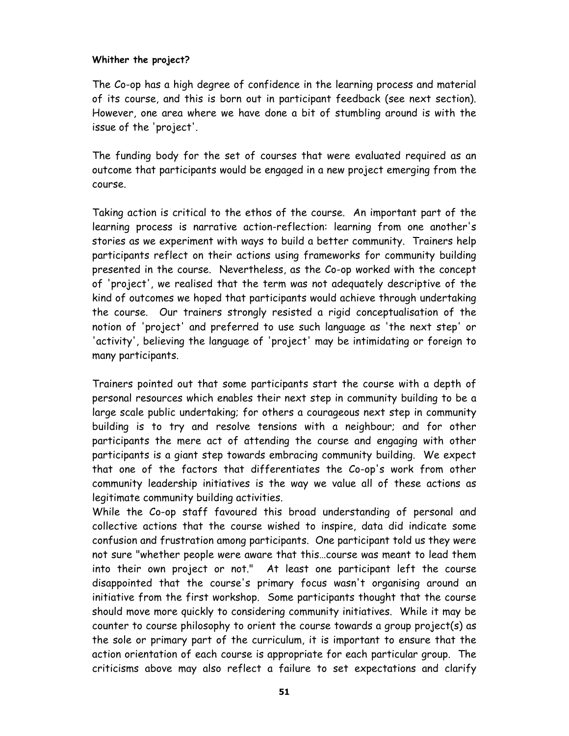#### **Whither the project?**

The Co-op has a high degree of confidence in the learning process and material of its course, and this is born out in participant feedback (see next section). However, one area where we have done a bit of stumbling around is with the issue of the 'project'.

The funding body for the set of courses that were evaluated required as an outcome that participants would be engaged in a new project emerging from the course.

Taking action is critical to the ethos of the course. An important part of the learning process is narrative action-reflection: learning from one another's stories as we experiment with ways to build a better community. Trainers help participants reflect on their actions using frameworks for community building presented in the course. Nevertheless, as the Co-op worked with the concept of 'project', we realised that the term was not adequately descriptive of the kind of outcomes we hoped that participants would achieve through undertaking the course. Our trainers strongly resisted a rigid conceptualisation of the notion of 'project' and preferred to use such language as 'the next step' or 'activity', believing the language of 'project' may be intimidating or foreign to many participants.

Trainers pointed out that some participants start the course with a depth of personal resources which enables their next step in community building to be a large scale public undertaking; for others a courageous next step in community building is to try and resolve tensions with a neighbour; and for other participants the mere act of attending the course and engaging with other participants is a giant step towards embracing community building. We expect that one of the factors that differentiates the Co-op's work from other community leadership initiatives is the way we value all of these actions as legitimate community building activities.

While the Co-op staff favoured this broad understanding of personal and collective actions that the course wished to inspire, data did indicate some confusion and frustration among participants. One participant told us they were not sure "whether people were aware that this…course was meant to lead them into their own project or not." At least one participant left the course disappointed that the course's primary focus wasn't organising around an initiative from the first workshop. Some participants thought that the course should move more quickly to considering community initiatives. While it may be counter to course philosophy to orient the course towards a group project(s) as the sole or primary part of the curriculum, it is important to ensure that the action orientation of each course is appropriate for each particular group. The criticisms above may also reflect a failure to set expectations and clarify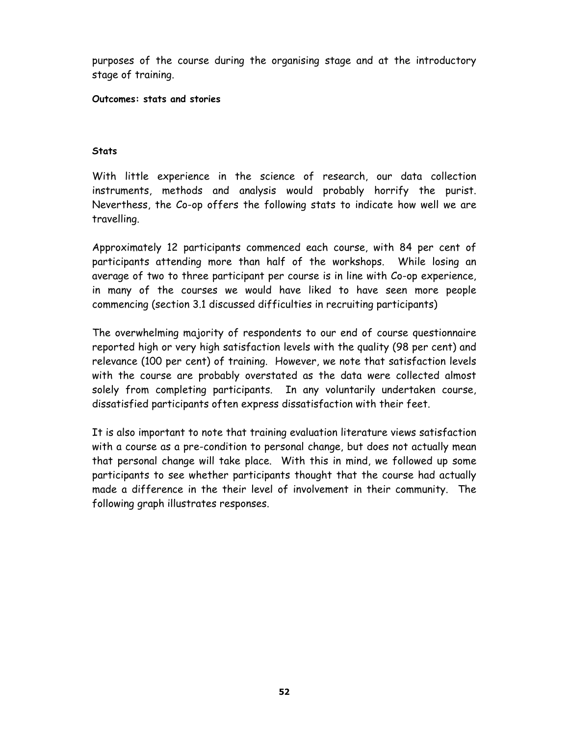purposes of the course during the organising stage and at the introductory stage of training.

#### **Outcomes: stats and stories**

#### **Stats**

With little experience in the science of research, our data collection instruments, methods and analysis would probably horrify the purist. Neverthess, the Co-op offers the following stats to indicate how well we are travelling.

Approximately 12 participants commenced each course, with 84 per cent of participants attending more than half of the workshops. While losing an average of two to three participant per course is in line with Co-op experience, in many of the courses we would have liked to have seen more people commencing (section 3.1 discussed difficulties in recruiting participants)

The overwhelming majority of respondents to our end of course questionnaire reported high or very high satisfaction levels with the quality (98 per cent) and relevance (100 per cent) of training. However, we note that satisfaction levels with the course are probably overstated as the data were collected almost solely from completing participants. In any voluntarily undertaken course, dissatisfied participants often express dissatisfaction with their feet.

It is also important to note that training evaluation literature views satisfaction with a course as a pre-condition to personal change, but does not actually mean that personal change will take place. With this in mind, we followed up some participants to see whether participants thought that the course had actually made a difference in the their level of involvement in their community. The following graph illustrates responses.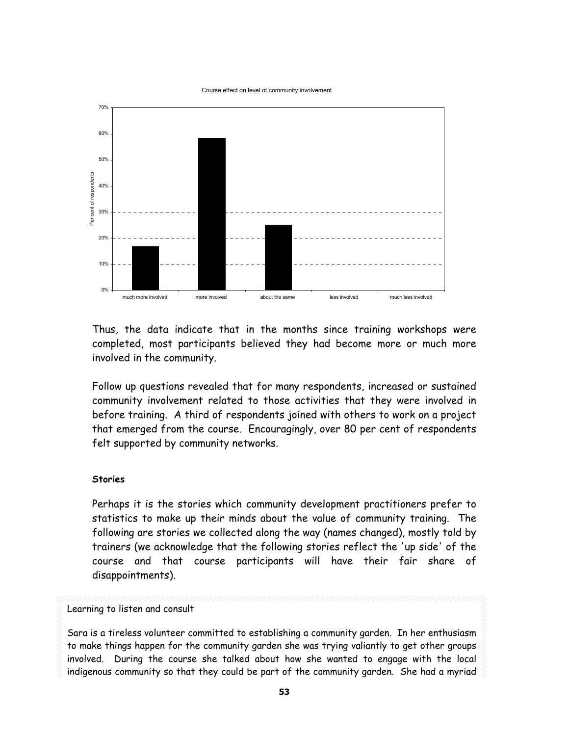#### Course effect on level of community involvement



Thus, the data indicate that in the months since training workshops were completed, most participants believed they had become more or much more involved in the community.

Follow up questions revealed that for many respondents, increased or sustained community involvement related to those activities that they were involved in before training. A third of respondents joined with others to work on a project that emerged from the course. Encouragingly, over 80 per cent of respondents felt supported by community networks.

#### **Stories**

Perhaps it is the stories which community development practitioners prefer to statistics to make up their minds about the value of community training. The following are stories we collected along the way (names changed), mostly told by trainers (we acknowledge that the following stories reflect the 'up side' of the course and that course participants will have their fair share of disappointments).

#### Learning to listen and consult

Sara is a tireless volunteer committed to establishing a community garden. In her enthusiasm to make things happen for the community garden she was trying valiantly to get other groups involved. During the course she talked about how she wanted to engage with the local indigenous community so that they could be part of the community garden. She had a myriad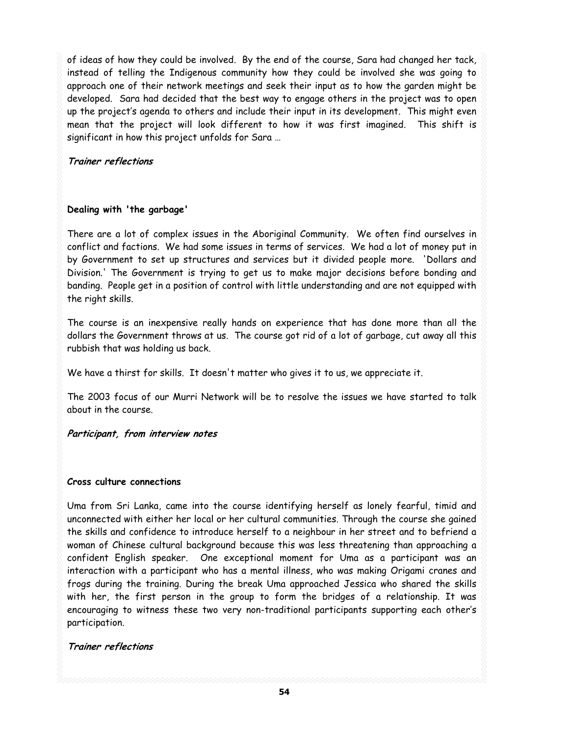of ideas of how they could be involved. By the end of the course, Sara had changed her tack, instead of telling the Indigenous community how they could be involved she was going to approach one of their network meetings and seek their input as to how the garden might be developed. Sara had decided that the best way to engage others in the project was to open up the project's agenda to others and include their input in its development. This might even mean that the project will look different to how it was first imagined. This shift is significant in how this project unfolds for Sara …

#### **Trainer reflections**

#### **Dealing with 'the garbage'**

There are a lot of complex issues in the Aboriginal Community. We often find ourselves in conflict and factions. We had some issues in terms of services. We had a lot of money put in by Government to set up structures and services but it divided people more. 'Dollars and Division.' The Government is trying to get us to make major decisions before bonding and banding. People get in a position of control with little understanding and are not equipped with the right skills.

The course is an inexpensive really hands on experience that has done more than all the dollars the Government throws at us. The course got rid of a lot of garbage, cut away all this rubbish that was holding us back.

We have a thirst for skills. It doesn't matter who gives it to us, we appreciate it.

The 2003 focus of our Murri Network will be to resolve the issues we have started to talk about in the course.

**Participant, from interview notes** 

#### **Cross culture connections**

Uma from Sri Lanka, came into the course identifying herself as lonely fearful, timid and unconnected with either her local or her cultural communities. Through the course she gained the skills and confidence to introduce herself to a neighbour in her street and to befriend a woman of Chinese cultural background because this was less threatening than approaching a confident English speaker. One exceptional moment for Uma as a participant was an interaction with a participant who has a mental illness, who was making Origami cranes and frogs during the training. During the break Uma approached Jessica who shared the skills with her, the first person in the group to form the bridges of a relationship. It was encouraging to witness these two very non-traditional participants supporting each other's participation.

#### **Trainer reflections**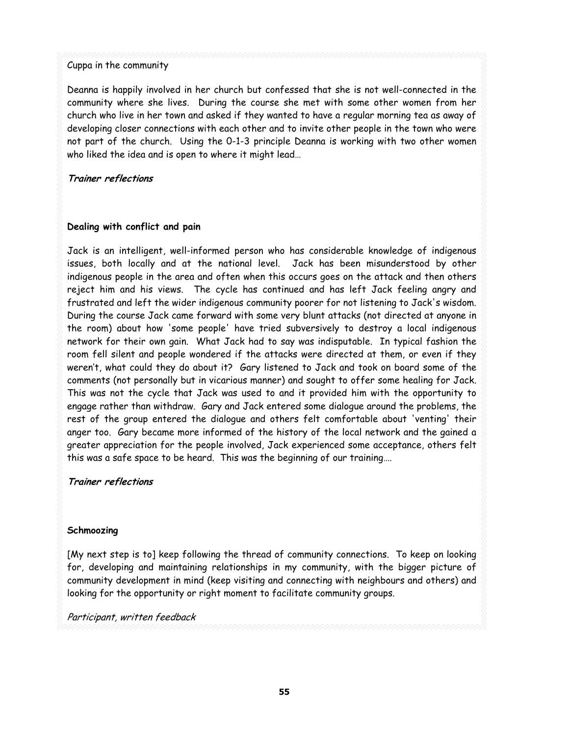#### Cuppa in the community

Deanna is happily involved in her church but confessed that she is not well-connected in the community where she lives. During the course she met with some other women from her church who live in her town and asked if they wanted to have a regular morning tea as away of developing closer connections with each other and to invite other people in the town who were not part of the church. Using the 0-1-3 principle Deanna is working with two other women who liked the idea and is open to where it might lead…

#### **Trainer reflections**

#### **Dealing with conflict and pain**

Jack is an intelligent, well-informed person who has considerable knowledge of indigenous issues, both locally and at the national level. Jack has been misunderstood by other indigenous people in the area and often when this occurs goes on the attack and then others reject him and his views. The cycle has continued and has left Jack feeling angry and frustrated and left the wider indigenous community poorer for not listening to Jack's wisdom. During the course Jack came forward with some very blunt attacks (not directed at anyone in the room) about how 'some people' have tried subversively to destroy a local indigenous network for their own gain. What Jack had to say was indisputable. In typical fashion the room fell silent and people wondered if the attacks were directed at them, or even if they weren't, what could they do about it? Gary listened to Jack and took on board some of the comments (not personally but in vicarious manner) and sought to offer some healing for Jack. This was not the cycle that Jack was used to and it provided him with the opportunity to engage rather than withdraw. Gary and Jack entered some dialogue around the problems, the rest of the group entered the dialogue and others felt comfortable about 'venting' their anger too. Gary became more informed of the history of the local network and the gained a greater appreciation for the people involved, Jack experienced some acceptance, others felt this was a safe space to be heard. This was the beginning of our training….

#### **Trainer reflections**

#### **Schmoozing**

[My next step is to] keep following the thread of community connections. To keep on looking for, developing and maintaining relationships in my community, with the bigger picture of community development in mind (keep visiting and connecting with neighbours and others) and looking for the opportunity or right moment to facilitate community groups.

Participant, written feedback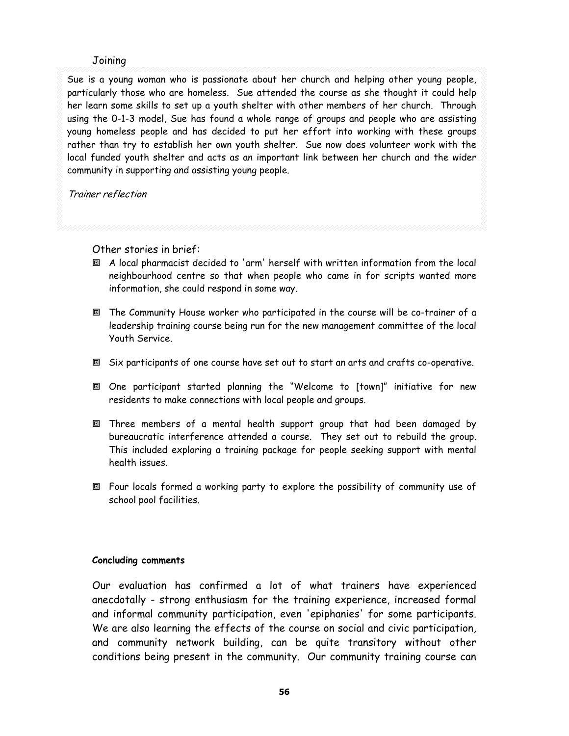#### Joining

Sue is a young woman who is passionate about her church and helping other young people, particularly those who are homeless. Sue attended the course as she thought it could help her learn some skills to set up a youth shelter with other members of her church. Through using the 0-1-3 model, Sue has found a whole range of groups and people who are assisting young homeless people and has decided to put her effort into working with these groups rather than try to establish her own youth shelter. Sue now does volunteer work with the local funded youth shelter and acts as an important link between her church and the wider community in supporting and assisting young people.

Trainer reflection

Other stories in brief:

- A local pharmacist decided to 'arm' herself with written information from the local neighbourhood centre so that when people who came in for scripts wanted more information, she could respond in some way.
- The Community House worker who participated in the course will be co-trainer of a leadership training course being run for the new management committee of the local Youth Service.
- **© Six participants of one course have set out to start an arts and crafts co-operative.**
- **© One participant started planning the "Welcome to [town]" initiative for new** residents to make connections with local people and groups.
- Three members of a mental health support group that had been damaged by bureaucratic interference attended a course. They set out to rebuild the group. This included exploring a training package for people seeking support with mental health issues.
- Four locals formed a working party to explore the possibility of community use of school pool facilities.

#### **Concluding comments**

Our evaluation has confirmed a lot of what trainers have experienced anecdotally - strong enthusiasm for the training experience, increased formal and informal community participation, even 'epiphanies' for some participants. We are also learning the effects of the course on social and civic participation, and community network building, can be quite transitory without other conditions being present in the community. Our community training course can